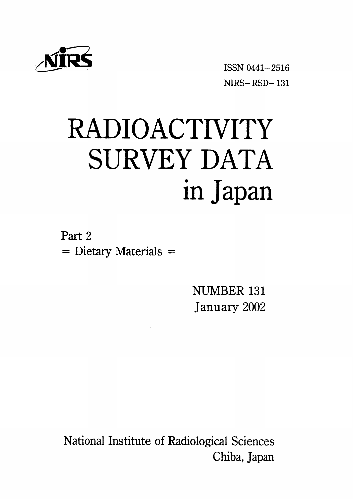

ISSN 0441-2516  $NIRS - RSD - 131$ 

# **RADIOACTIVITY SURVEY DATA** in Japan

Part 2  $=$  Dietary Materials  $=$ 

> NUMBER 131 January 2002

National Institute of Radiological Sciences Chiba, Japan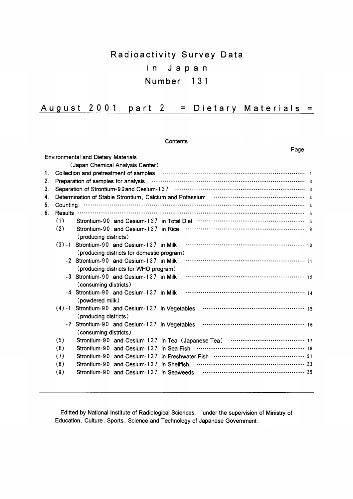# Radioactivity Survey Data  $i$ n Japan Number 131

| August 2001 part 2 |  |  |  | $=$ Dietary Materials $=$ |  |
|--------------------|--|--|--|---------------------------|--|
|--------------------|--|--|--|---------------------------|--|

Contents

|    |                | Page                                                                                        |  |
|----|----------------|---------------------------------------------------------------------------------------------|--|
|    |                | <b>Environmental and Dietary Materials</b>                                                  |  |
|    |                | (Japan Chemical Analysis Center)                                                            |  |
| 1. |                | Collection and pretreatment of samples <b>COLLECTION</b> 1                                  |  |
| 2. |                | Preparation of samples for analysis                                                         |  |
| 3. |                |                                                                                             |  |
| 4. |                | Determination of Stable Strontium, Calcium and Potassium <b>Construction Construction</b> 4 |  |
| 5. | Counting       |                                                                                             |  |
| 6. | <b>Results</b> |                                                                                             |  |
|    | (1)            |                                                                                             |  |
|    | (2)            | (producing districts)                                                                       |  |
|    | $(3) - 1$      | Strontium-90 and Cesium-137 in Milk<br>(producing districts for domestic program)           |  |
|    |                | -2 Strontium-90 and Cesium-137 in Milk                                                      |  |
|    |                | (producing districts for WHO program)                                                       |  |
|    |                | -3 Strontium-90 and Cesium-137 in Milk<br>(consuming districts)                             |  |
|    |                | -4 Strontium-90 and Cesium-137 in Milk<br>(powdered milk)                                   |  |
|    |                | $(4) - 1$ Strontium-90 and Cesium-137 in Vegetables<br>(producing districts)                |  |
|    |                | -2 Strontium-90 and Cesium-137 in Vegetables<br>(consuming districts)                       |  |
|    | (5)            |                                                                                             |  |
|    | (6)            | Strontium-90 and Cesium-137 in Sea Fish                                                     |  |
|    | (7)            |                                                                                             |  |
|    | (8)            | Strontium-90 and Cesium-137 in Shellfish                                                    |  |
|    | (9)            | Strontium-90 and Cesium-137 in Seaweeds                                                     |  |

Editted by National Institute of Radiological Sciences, under the supervision of Ministry of Education, Culture, Sports, Science and Technology of Japanese Government.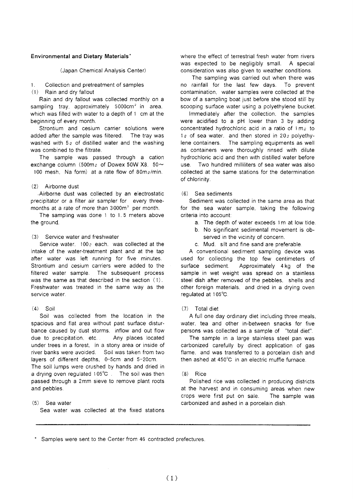#### **Environmental and Dietary Materials'**

(Japan Chemical Analysis Center)

Collection and pretreatment of samples  $\mathbf{1}$ 

(1) Rain and dry fallout

Rain and dry fallout was collected monthly on a sampling tray, approximately 5000cm<sup>2</sup> in area. which was filled with water to a depth of 1 cm at the beginning of every month.

Strontium and cesium carrier solutions were added after the sample was filtered. The tray was washed with  $5\ell$  of distilled water and the washing was combined to the filtrate.

The sample was passed through a cation exchange column (500m<sub>2</sub> of Dowex 50W X8, 50 $\sim$ 100 mesh. Na form) at a rate flow of 80mg/min.

#### (2) Airborne dust

Airborne dust was collected by an electrostatic precipitator or a filter air sampler for every threemonths at a rate of more than 3000m<sup>3</sup> per month.

The sampling was done 1 to 1.5 meters above the ground.

#### (3) Service water and freshwater

Service water,  $100<sub>2</sub>$  each, was collected at the intake of the water-treatment plant and at the tap after water was left running for five minutes. Strontium and cesium carriers were added to the filtered water sample. The subsequent process was the same as that described in the section  $(1)$ . Freshwater was treated in the same way as the service water.

#### $(4)$  Soil

Soil was collected from the location in the spacious and flat area without past surface disturbance caused by dust storms, inflow and out flow due to precipitation, etc... Any places located under trees in a forest, in a stony area or inside of river banks were avoided. Soil was taken from two layers of different depths, 0-5cm and 5-20cm. The soil lumps were crushed by hands and dried in a drying oven regulated 105°C. The soil was then passed through a 2mm sieve to remove plant roots and pebbles.

#### (5) Sea water

Sea water was collected at the fixed stations

where the effect of terrestrial fresh water from rivers was expected to be negligibly small. A special consideration was also given to weather conditions.

The sampling was carried out when there was no rainfall for the last few days. To prevent contamination, water samples were collected at the bow of a sampling boat just before she stood still by scooping surface water using a polyethylene bucket.

Immediately after the collection, the samples were acidified to a pH lower than 3 by adding concentrated hydrochloric acid in a ratio of 1 me to 1g of sea water, and then stored in 20g polyethylene containers. The sampling equipments as well as containers were thoroughly rinsed with dilute hydrochloric acid and then with distilled water before  $_{11}$ Se Two hundred milliliters of sea water was also collected at the same stations for the determination of chlorinity.

#### $(6)$ Sea sediments

Sediment was collected in the same area as that for the sea water sample, taking the following criteria into account:

- a. The depth of water exceeds 1m at low tide.
- b. No significant sedimental movement is observed in the vicinity of concern.
- c. Mud. silt and fine sand are preferable.

A conventional sediment sampling device was used for collecting the top few centimeters of surface sediment. Approximately 4 kg of the sample in wet weight was spread on a stainless steel dish after removed of the pebbles. shells and other foreign materials, and dried in a drying oven regulated at 105°C.

## (7) Total diet

A full one day ordinary diet including three meals. water, tea and other in-between snacks for five persons was collected as a sample of "total diet".

The sample in a large stainless steel pan was carbonized carefully by direct application of gas flame, and was transferred to a porcelain dish and then ashed at 450°C in an electric muffle furnace.

#### $(8)$ Rice

Polished rice was collected in producing districts at the harvest and in consuming areas when new crops were first put on sale. The sample was carbonized and ashed in a porcelain dish.

\* Samples were sent to the Center from 46 contracted prefectures.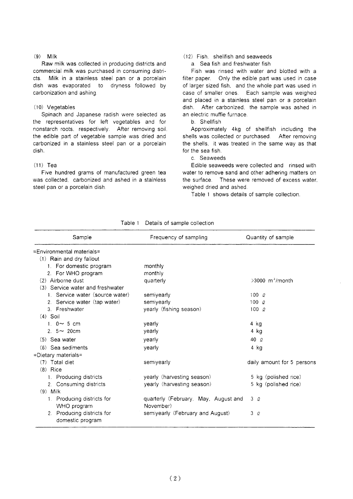#### $(9)$  Milk

Raw milk was collected in producing districts and commercial milk was purchased in consuming districts. Milk in a stainless steel pan or a porcelain dish was evaporated to dryness followed by carbonization and ashing.

## (10) Vegetables

Spinach and Japanese radish were selected as the representatives for left vegetables and for nonstarch roots, respectively. After removing soil. the edible part of vegetable sample was dried and carbonized in a stainless steel pan or a porcelain dish.

#### $(11)$  Tea

Five hundred grams of manufactured green tea was collected. carbonized and ashed in a stainless steel pan or a porcelain dish.

## $(12)$  Fish, shellfish and seaweeds

a Sea fish and freshwater fish

Fish was rinsed with water and blotted with a filter paper. Only the edible part was used in case of larger sized fish, and the whole part was used in case of smaller ones. Each sample was weighed and placed in a stainless steel pan or a porcelain dish. After carbonized, the sample was ashed in an electric muffle furnace.

b Shellfish

Approximately 4kg of shellfish including the shells was collected or purchased. After removing the shells, it was treated in the same way as that for the sea fish.

#### c. Seaweeds

Edible seaweeds were collected and rinsed with water to remove sand and other adhering matters on the surface. These were removed of excess water. weighed dried and ashed.

Table 1 shows details of sample collection.

| Sample                                         | Frequency of sampling                | Quantity of sample            |
|------------------------------------------------|--------------------------------------|-------------------------------|
| =Environmental materials=                      |                                      |                               |
| (1) Rain and dry fallout                       |                                      |                               |
| 1. For domestic program                        | monthly                              |                               |
| 2. For WHO program                             | monthly                              |                               |
| (2) Airborne dust                              | quarterly                            | $>3000$ m <sup>3</sup> /month |
| (3) Service water and freshwater               |                                      |                               |
| 1. Service water (source water)                | semiyearly                           | $100 \alpha$                  |
| 2. Service water (tap water)                   | semivearly                           | $100$ $Q$                     |
| 3. Freshwater                                  | yearly (fishing season)              | $100\alpha$                   |
| $(4)$ Soil                                     |                                      |                               |
| 1. $0 \sim 5$ cm                               | yearly                               | 4 kg                          |
| 2. $5 \sim 20$ cm                              | yearly                               | 4 kg                          |
| $(5)$ Sea water                                | vearly                               | 40 $\varrho$                  |
| (6) Sea sediments                              | vearly                               | 4 kg                          |
| =Dietary materials=                            |                                      |                               |
| $(7)$ Total diet                               | semiyearly                           | daily amount for 5 persons    |
| $(8)$ Rice                                     |                                      |                               |
| 1. Producing districts                         | yearly (harvesting season)           | 5 kg (polished rice)          |
| 2. Consuming districts                         | yearly (harvesting season)           | 5 kg (polished rice)          |
| $(9)$ Milk                                     |                                      |                               |
| 1. Producing districts for                     | quarterly (February, May, August and | 3Q                            |
| WHO program                                    | November)                            |                               |
| 2. Producing districts for<br>domestic program | semiyearly (February and August)     | 3Q                            |

Table 1 Details of sample collection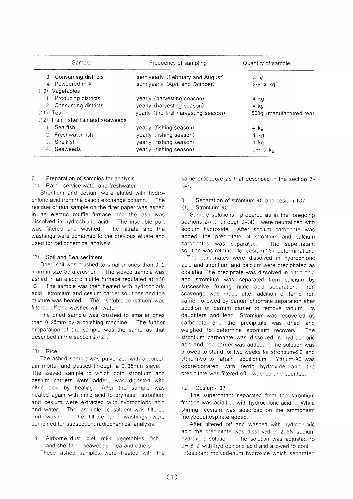|                                     | Sample | Frequency of sampling                | Quantity of sample      |
|-------------------------------------|--------|--------------------------------------|-------------------------|
| 3. Consuming districts              |        | semiyearly (February and August)     | 3Q                      |
| 4. Powdered milk                    |        | semiyearly (April and October)       | $2 \sim 3$ kg           |
| $(10)$ Vegetables                   |        |                                      |                         |
| 1. Producing districts              |        | yearly (harvesting season)           | 4 kg                    |
| 2. Consuming districts              |        | yearly (harvesting season)           | 4 ka                    |
| $(11)$ Tea                          |        | yearly (the first harvesting season) | 500g (manufactured tea) |
| $(12)$ Fish, shellfish and seaweeds |        |                                      |                         |
| Sea fish                            |        | yearly (fishing season)              | 4 kg                    |
| 2. Freshwater fish                  |        | yearly (fishing season)              | 4 kg                    |
| 3. Shellfish                        |        | yearly (fishing season)              | 4 kg                    |
| 4. Seaweeds                         |        | yearly (fishing season)              | $2 \sim 3$ kg           |

#### Preparation of samples for analysis  $\mathcal{P}$

(1) Rain, service water and freshwater

Strontium and cesium were eluted with hydrochloric acid from the cation exchange column. The residue of rain sample on the filter paper was ashed in an electric muffle furnace and the ash was dissolved in hydrochloric acid. The insoluble part was filtered and washed. The filtrate and the washings were combined to the previous eluate and used for radiochemical analysis.

#### Soil and Sea sediment  $(2)$

Dried soil was crushed to smaller ones than 0.2 5mm in size by a crusher. The sieved sample was ashed in an electric muffle furnace regulated at 450 °∩° The sample was then heated with hydrochloric acid. strontium and cesium carrier solutions and the mixture was heated. The insoluble constituent was filtered off and washed with water.

The dried sample was crushed to smaller ones than 0.25mm by a crushing machine. The further preparation of the sample was the same as that described in the section  $2-(2)$ 

## $(3)$  Rice

The ashed sample was pulverized with a porcelain mortar and passed through a 0.35mm sieve. The sieved sample to which both strontium and cesium carriers were added, was digested with nitric acid by heating. After the sample was heated again with nitric acid to dryness, strontium and cesium were extracted with hydrochloric acid and water. The insoluble constituent was filtered and washed. The filtrate and washings were combined for subsequent radiochemical analysis.

Airborne dust, diet, milk, vegetables, fish  $4^{\circ}$ and shellfish. seaweeds, tea and others These ashed samples were treated with the same procedure as that described in the section 2- $(4)$ .

#### $\mathcal{R}$ Separation of strontium-90 and cesium-137  $(1)$ Strontium-90

Sample solutions, prepared as in the foregoing sections  $2-(1)$  through  $2-(4)$ , were neutralized with sodium hydroxide. After sodium carbonate was added, the precipitate of strontium and calcium carbonates was separated. The supernatant solution was retained for cesium-137 determination.

The carbonates were dissolved in hydrochloric acid and strontium and calcium were precipitated as oxalates. The precipitate was dissolved in nitric acid and strontium was separated from calcium by successive fuming nitric acid separation. **Iron** scavenge was made after addition of ferric iron carrier followed by barium chromate separation after addition of barium carrier to remove radium, its daughters and lead. Strontium was recovered as carbonate, and the precipitate was dried and weighed to determine strontium recovery. The strontium carbonate was dissolved in hydrochloric acid and iron carrier was added. The solution was allowed to stand for two weeks for strontium-90 and yttrium-90 to attain equilibrium. Yttrium-90 was coprecipitated with ferric hydroxide and the precipitate was filtered off, washed and counted.

#### $(2)$ Cesium-137

The supernatant separated from the strontium fraction was acidified with hydrochloric acid. While stirring, cesium was adsorbed on the ammonium molybdophosphate added.

After filtered off and washed with hydrochloric acid the precipitate was dissolved in 2.5N sodium hydroxide solution. The solution was adjusted to pH 8.2 with hydrochloric acid and allowed to cool.

Resultant molybdenum hydroxide which separated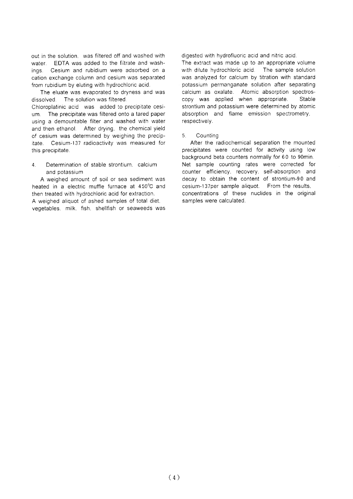out in the solution was filtered off and washed with water FDTA was added to the filtrate and wash-Cesium and rubidium were adsorbed on a inas cation exchange column and cesium was separated from rubidium by eluting with hydrochloric acid.

The eluate was evaporated to dryness and was dissolved. The solution was filtered. Chloroplatinic acid was added to precipitate cesium. The precipitate was filtered onto a tared paper using a demountable filter and washed with water and then ethanol. After drying, the chemical yield of cesium was determined by weighing the precipitate. Cesium-137 radioactivity was measured for this precipitate.

Determination of stable strontium. calcium  $\overline{4}$ and potassium

A weighed amount of soil or sea sediment was heated in a electric muffle furnace at 450°C and then treated with hydrochloric acid for extraction. A weighed aliquot of ashed samples of total diet. vegetables, milk, fish, shellfish or seaweeds was

digested with hydrofluoric acid and nitric acid.

The extract was made up to an appropriate volume with dilute hydrochloric acid. The sample solution was analyzed for calcium by titration with standard potassium permanganate solution after separating calcium as oxalate. Atomic absorption spectros-Stable copy was applied when appropriate. strontium and potassium were determined by atomic absorption and flame emission spectrometry, respectively.

#### $5<sup>1</sup>$ Countina

After the radiochemical separation the mounted precipitates were counted for activity using low background beta counters normally for 60 to 90min. Net sample counting rates were corrected for counter efficiency, recovery, self-absorption and decay to obtain the content of strontium-90 and cesium-137per sample aliquot. From the results. concentrations of these nuclides in the original samples were calculated.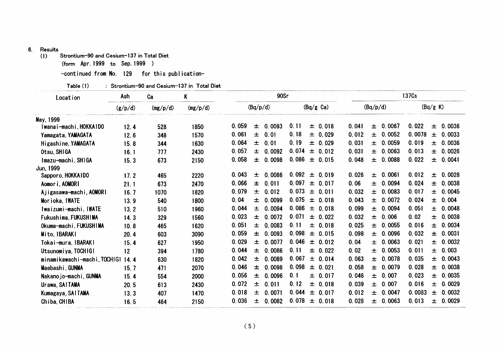# 6. Results

Strontium-90 and Cesium-137 in Total Diet

(form Apr.1999 to Sep.1999)

-continued from No. 129 for this publication-

| Table (1) |  | : Strontium−90 and Cesium−137 in Total Diet |  |
|-----------|--|---------------------------------------------|--|
|-----------|--|---------------------------------------------|--|

| (Bq/p/d)<br>(Bq/g K)<br>(Bq/p/d)<br>$(Bq/g \text{ Ca})$<br>(g/p/d)<br>(mg/p/d)<br>(mg/p/d)<br>May, 1999<br>0.11<br>0.0067<br>0.059<br>0.022<br>0.0093<br>$\pm 0.018$<br>0.041<br>士<br>Iwanai-machi, HOKKAIDO<br>土<br>士<br>528<br>1850<br>12.4<br>0.061<br>士<br>0.18<br>± 0.0052<br>0.0078<br>0.01<br>± 0.029<br>0.012<br>$\pm$<br>1570<br>Yamagata, YAMAGATA<br>12.6<br>348<br>0.19<br>0.064<br>0.031<br>± 0.0059<br>0.019<br>0.01<br>± 0.029<br>士<br>15.8<br>344<br>1630<br>士<br>Higashine, YAMAGATA<br>0.074<br>0.057<br>0.031<br>0.0063<br>0.013<br>0.0092<br>$\pm 0.012$<br>土<br>士<br>士<br>Otsu, SHIGA<br>777<br>2430<br>16.1<br>0.058<br>0.086<br>0.0088<br>0.022<br>0.0098<br>$\pm$<br>0.048<br>士<br>0.015<br>$\pm$<br>土<br>Imazu-machi, SHIGA<br>673<br>2150<br>15.3<br>Jun, 1999<br>$0.092 \pm 0.019$<br>0.043<br>0.026<br>0.0028<br>0.0086<br>± 0.0061<br>0.012<br>土<br>$\pm$<br>Sapporo, HOKKAIDO<br>17.2<br>465<br>2220<br>0.097<br>0.066<br>$\pm 0.017$<br>0.06<br>0.0094<br>0.024<br>士<br>0.011<br>2470<br>土<br>士<br>Aomori, AOMORI<br>673<br>21.1<br>0.079<br>0.073<br>0.032<br>± 0.0083<br>0.017<br>$\pm$<br>0.012<br>± 0.011<br>土<br>1820<br>Ajigasawa-machi, AOMORI<br>16.7<br>1070<br>0.04<br>0.075<br>0.0072<br>0.0099<br>0.043<br>0.024<br>士<br>$\pm 0.018$<br>$\pm$<br>土<br>1800<br>Morioka, IWATE<br>13.9<br>540<br>0.044<br>0.086<br>0.099<br>± 0.0094<br>0.051<br>0.0094<br>± 0.018<br>士<br>1960<br>土<br>Iwaizumi-machi, IWATE<br>13.2<br>510<br>0.023<br>0.071<br>0.0072<br>0.032<br>0.02<br>$\pm$ 0.022<br>0.006<br>士<br>土<br>土<br>Fukushima, FUKUSHIMA<br>1560<br>14.3<br>329<br>0.051<br>0.0083<br>0.11<br>0.025<br>± 0.0055<br>0.016<br>$\pm$<br>± 0.018<br>士<br>Okuma-machi, FUKUSHIMA<br>465<br>1620<br>10.8<br>0.059<br>0.098<br>0.0093<br>0.098<br>± 0.0096<br>0.032<br>± 0.015<br>士<br>$\pm$<br>Mito, IBARAKI<br>3090<br>20.4<br>603<br>0.029<br>0.046<br>0.0077<br>0.04<br>0.0063<br>0.021<br>$\pm 0.012$<br>1950<br>土<br>士<br>Tokai-mura, IBARAKI<br>627<br>土<br>15.4<br>0.044<br>0.11<br>± 0.022<br>0.0053<br>0.011<br>0.0086<br>0.02<br>士<br>土<br>士<br>Utsunomiya, TOCHIGI<br>12<br>1780<br>394<br>0.042<br>0.067<br>$\pm$<br>0.0089<br>± 0.014<br>0.063<br>0.0078<br>0.035<br>土<br>土<br>minamikawachi-machi, TOCHIGI 14.4<br>1820<br>630<br>0.046<br>0.098<br>0.058<br>0.0098<br>$\pm$ 0.021<br>0.0079<br>0.028<br>2070<br>士<br>士<br>土<br>Maebashi, GUNMA<br>15.7<br>471<br>0.056<br>0.1<br>0.007<br>0.023<br>0.0096<br>± 0.017<br>0.046<br>$\pm$<br>$\pm$<br>士<br>Nakanojo-machi, GUNMA<br>15.4<br>554<br>2000<br>0.072<br>0.12<br>0.039<br>0.016<br>士<br>0.011<br>± 0.018<br>± 0.007<br>土<br>2430<br>Urawa, SAITAMA<br>20.5<br>613<br>0.044<br>0.018<br>0.012<br>0.0071<br>0.0047<br>0.0083<br>$\pm 0.017$<br>$\pm$<br>士<br>1470<br>土<br>Kumagaya, SAITAMA<br>407<br>13.3<br>0.036<br>$0.078 \pm 0.018$<br>0.028<br>± 0.0063<br>0.013<br>0.0082<br>士<br>2150<br>士<br>Chiba, CHIBA<br>16.5<br>464 | Location | Ash | Ca | K |     | 90Sr |  |  |  | 137Cs |        |
|-------------------------------------------------------------------------------------------------------------------------------------------------------------------------------------------------------------------------------------------------------------------------------------------------------------------------------------------------------------------------------------------------------------------------------------------------------------------------------------------------------------------------------------------------------------------------------------------------------------------------------------------------------------------------------------------------------------------------------------------------------------------------------------------------------------------------------------------------------------------------------------------------------------------------------------------------------------------------------------------------------------------------------------------------------------------------------------------------------------------------------------------------------------------------------------------------------------------------------------------------------------------------------------------------------------------------------------------------------------------------------------------------------------------------------------------------------------------------------------------------------------------------------------------------------------------------------------------------------------------------------------------------------------------------------------------------------------------------------------------------------------------------------------------------------------------------------------------------------------------------------------------------------------------------------------------------------------------------------------------------------------------------------------------------------------------------------------------------------------------------------------------------------------------------------------------------------------------------------------------------------------------------------------------------------------------------------------------------------------------------------------------------------------------------------------------------------------------------------------------------------------------------------------------------------------------------------------------------------------------------------------------------------------------------------------------------------------------------------------------------------------------------------------------------------------------------------------------------------------------------------------------------------------------------------------------|----------|-----|----|---|-----|------|--|--|--|-------|--------|
|                                                                                                                                                                                                                                                                                                                                                                                                                                                                                                                                                                                                                                                                                                                                                                                                                                                                                                                                                                                                                                                                                                                                                                                                                                                                                                                                                                                                                                                                                                                                                                                                                                                                                                                                                                                                                                                                                                                                                                                                                                                                                                                                                                                                                                                                                                                                                                                                                                                                                                                                                                                                                                                                                                                                                                                                                                                                                                                                           |          |     |    |   |     |      |  |  |  |       |        |
|                                                                                                                                                                                                                                                                                                                                                                                                                                                                                                                                                                                                                                                                                                                                                                                                                                                                                                                                                                                                                                                                                                                                                                                                                                                                                                                                                                                                                                                                                                                                                                                                                                                                                                                                                                                                                                                                                                                                                                                                                                                                                                                                                                                                                                                                                                                                                                                                                                                                                                                                                                                                                                                                                                                                                                                                                                                                                                                                           |          |     |    |   |     |      |  |  |  |       |        |
|                                                                                                                                                                                                                                                                                                                                                                                                                                                                                                                                                                                                                                                                                                                                                                                                                                                                                                                                                                                                                                                                                                                                                                                                                                                                                                                                                                                                                                                                                                                                                                                                                                                                                                                                                                                                                                                                                                                                                                                                                                                                                                                                                                                                                                                                                                                                                                                                                                                                                                                                                                                                                                                                                                                                                                                                                                                                                                                                           |          |     |    |   |     |      |  |  |  |       | 0.0036 |
|                                                                                                                                                                                                                                                                                                                                                                                                                                                                                                                                                                                                                                                                                                                                                                                                                                                                                                                                                                                                                                                                                                                                                                                                                                                                                                                                                                                                                                                                                                                                                                                                                                                                                                                                                                                                                                                                                                                                                                                                                                                                                                                                                                                                                                                                                                                                                                                                                                                                                                                                                                                                                                                                                                                                                                                                                                                                                                                                           |          |     |    |   |     |      |  |  |  |       | 0.0033 |
|                                                                                                                                                                                                                                                                                                                                                                                                                                                                                                                                                                                                                                                                                                                                                                                                                                                                                                                                                                                                                                                                                                                                                                                                                                                                                                                                                                                                                                                                                                                                                                                                                                                                                                                                                                                                                                                                                                                                                                                                                                                                                                                                                                                                                                                                                                                                                                                                                                                                                                                                                                                                                                                                                                                                                                                                                                                                                                                                           |          |     |    |   |     |      |  |  |  |       | 0.0036 |
|                                                                                                                                                                                                                                                                                                                                                                                                                                                                                                                                                                                                                                                                                                                                                                                                                                                                                                                                                                                                                                                                                                                                                                                                                                                                                                                                                                                                                                                                                                                                                                                                                                                                                                                                                                                                                                                                                                                                                                                                                                                                                                                                                                                                                                                                                                                                                                                                                                                                                                                                                                                                                                                                                                                                                                                                                                                                                                                                           |          |     |    |   |     |      |  |  |  |       | 0.0026 |
|                                                                                                                                                                                                                                                                                                                                                                                                                                                                                                                                                                                                                                                                                                                                                                                                                                                                                                                                                                                                                                                                                                                                                                                                                                                                                                                                                                                                                                                                                                                                                                                                                                                                                                                                                                                                                                                                                                                                                                                                                                                                                                                                                                                                                                                                                                                                                                                                                                                                                                                                                                                                                                                                                                                                                                                                                                                                                                                                           |          |     |    |   |     |      |  |  |  |       | 0.0041 |
|                                                                                                                                                                                                                                                                                                                                                                                                                                                                                                                                                                                                                                                                                                                                                                                                                                                                                                                                                                                                                                                                                                                                                                                                                                                                                                                                                                                                                                                                                                                                                                                                                                                                                                                                                                                                                                                                                                                                                                                                                                                                                                                                                                                                                                                                                                                                                                                                                                                                                                                                                                                                                                                                                                                                                                                                                                                                                                                                           |          |     |    |   |     |      |  |  |  |       |        |
|                                                                                                                                                                                                                                                                                                                                                                                                                                                                                                                                                                                                                                                                                                                                                                                                                                                                                                                                                                                                                                                                                                                                                                                                                                                                                                                                                                                                                                                                                                                                                                                                                                                                                                                                                                                                                                                                                                                                                                                                                                                                                                                                                                                                                                                                                                                                                                                                                                                                                                                                                                                                                                                                                                                                                                                                                                                                                                                                           |          |     |    |   |     |      |  |  |  |       |        |
|                                                                                                                                                                                                                                                                                                                                                                                                                                                                                                                                                                                                                                                                                                                                                                                                                                                                                                                                                                                                                                                                                                                                                                                                                                                                                                                                                                                                                                                                                                                                                                                                                                                                                                                                                                                                                                                                                                                                                                                                                                                                                                                                                                                                                                                                                                                                                                                                                                                                                                                                                                                                                                                                                                                                                                                                                                                                                                                                           |          |     |    |   |     |      |  |  |  |       | 0.0038 |
|                                                                                                                                                                                                                                                                                                                                                                                                                                                                                                                                                                                                                                                                                                                                                                                                                                                                                                                                                                                                                                                                                                                                                                                                                                                                                                                                                                                                                                                                                                                                                                                                                                                                                                                                                                                                                                                                                                                                                                                                                                                                                                                                                                                                                                                                                                                                                                                                                                                                                                                                                                                                                                                                                                                                                                                                                                                                                                                                           |          |     |    |   |     |      |  |  |  |       | 0.0045 |
|                                                                                                                                                                                                                                                                                                                                                                                                                                                                                                                                                                                                                                                                                                                                                                                                                                                                                                                                                                                                                                                                                                                                                                                                                                                                                                                                                                                                                                                                                                                                                                                                                                                                                                                                                                                                                                                                                                                                                                                                                                                                                                                                                                                                                                                                                                                                                                                                                                                                                                                                                                                                                                                                                                                                                                                                                                                                                                                                           |          |     |    |   |     |      |  |  |  |       | 0.004  |
|                                                                                                                                                                                                                                                                                                                                                                                                                                                                                                                                                                                                                                                                                                                                                                                                                                                                                                                                                                                                                                                                                                                                                                                                                                                                                                                                                                                                                                                                                                                                                                                                                                                                                                                                                                                                                                                                                                                                                                                                                                                                                                                                                                                                                                                                                                                                                                                                                                                                                                                                                                                                                                                                                                                                                                                                                                                                                                                                           |          |     |    |   |     |      |  |  |  |       | 0.0048 |
|                                                                                                                                                                                                                                                                                                                                                                                                                                                                                                                                                                                                                                                                                                                                                                                                                                                                                                                                                                                                                                                                                                                                                                                                                                                                                                                                                                                                                                                                                                                                                                                                                                                                                                                                                                                                                                                                                                                                                                                                                                                                                                                                                                                                                                                                                                                                                                                                                                                                                                                                                                                                                                                                                                                                                                                                                                                                                                                                           |          |     |    |   |     |      |  |  |  |       | 0.0038 |
|                                                                                                                                                                                                                                                                                                                                                                                                                                                                                                                                                                                                                                                                                                                                                                                                                                                                                                                                                                                                                                                                                                                                                                                                                                                                                                                                                                                                                                                                                                                                                                                                                                                                                                                                                                                                                                                                                                                                                                                                                                                                                                                                                                                                                                                                                                                                                                                                                                                                                                                                                                                                                                                                                                                                                                                                                                                                                                                                           |          |     |    |   |     |      |  |  |  |       | 0.0034 |
|                                                                                                                                                                                                                                                                                                                                                                                                                                                                                                                                                                                                                                                                                                                                                                                                                                                                                                                                                                                                                                                                                                                                                                                                                                                                                                                                                                                                                                                                                                                                                                                                                                                                                                                                                                                                                                                                                                                                                                                                                                                                                                                                                                                                                                                                                                                                                                                                                                                                                                                                                                                                                                                                                                                                                                                                                                                                                                                                           |          |     |    |   |     |      |  |  |  |       | 0.0031 |
|                                                                                                                                                                                                                                                                                                                                                                                                                                                                                                                                                                                                                                                                                                                                                                                                                                                                                                                                                                                                                                                                                                                                                                                                                                                                                                                                                                                                                                                                                                                                                                                                                                                                                                                                                                                                                                                                                                                                                                                                                                                                                                                                                                                                                                                                                                                                                                                                                                                                                                                                                                                                                                                                                                                                                                                                                                                                                                                                           |          |     |    |   |     |      |  |  |  |       | 0.0032 |
|                                                                                                                                                                                                                                                                                                                                                                                                                                                                                                                                                                                                                                                                                                                                                                                                                                                                                                                                                                                                                                                                                                                                                                                                                                                                                                                                                                                                                                                                                                                                                                                                                                                                                                                                                                                                                                                                                                                                                                                                                                                                                                                                                                                                                                                                                                                                                                                                                                                                                                                                                                                                                                                                                                                                                                                                                                                                                                                                           |          |     |    |   |     |      |  |  |  |       | 0.003  |
|                                                                                                                                                                                                                                                                                                                                                                                                                                                                                                                                                                                                                                                                                                                                                                                                                                                                                                                                                                                                                                                                                                                                                                                                                                                                                                                                                                                                                                                                                                                                                                                                                                                                                                                                                                                                                                                                                                                                                                                                                                                                                                                                                                                                                                                                                                                                                                                                                                                                                                                                                                                                                                                                                                                                                                                                                                                                                                                                           |          |     |    |   |     |      |  |  |  |       | 0.0043 |
|                                                                                                                                                                                                                                                                                                                                                                                                                                                                                                                                                                                                                                                                                                                                                                                                                                                                                                                                                                                                                                                                                                                                                                                                                                                                                                                                                                                                                                                                                                                                                                                                                                                                                                                                                                                                                                                                                                                                                                                                                                                                                                                                                                                                                                                                                                                                                                                                                                                                                                                                                                                                                                                                                                                                                                                                                                                                                                                                           |          |     |    |   |     |      |  |  |  |       | 0.0038 |
|                                                                                                                                                                                                                                                                                                                                                                                                                                                                                                                                                                                                                                                                                                                                                                                                                                                                                                                                                                                                                                                                                                                                                                                                                                                                                                                                                                                                                                                                                                                                                                                                                                                                                                                                                                                                                                                                                                                                                                                                                                                                                                                                                                                                                                                                                                                                                                                                                                                                                                                                                                                                                                                                                                                                                                                                                                                                                                                                           |          |     |    |   |     |      |  |  |  |       | 0.0035 |
|                                                                                                                                                                                                                                                                                                                                                                                                                                                                                                                                                                                                                                                                                                                                                                                                                                                                                                                                                                                                                                                                                                                                                                                                                                                                                                                                                                                                                                                                                                                                                                                                                                                                                                                                                                                                                                                                                                                                                                                                                                                                                                                                                                                                                                                                                                                                                                                                                                                                                                                                                                                                                                                                                                                                                                                                                                                                                                                                           |          |     |    |   |     |      |  |  |  |       | 0.0029 |
|                                                                                                                                                                                                                                                                                                                                                                                                                                                                                                                                                                                                                                                                                                                                                                                                                                                                                                                                                                                                                                                                                                                                                                                                                                                                                                                                                                                                                                                                                                                                                                                                                                                                                                                                                                                                                                                                                                                                                                                                                                                                                                                                                                                                                                                                                                                                                                                                                                                                                                                                                                                                                                                                                                                                                                                                                                                                                                                                           |          |     |    |   |     |      |  |  |  |       | 0.0032 |
|                                                                                                                                                                                                                                                                                                                                                                                                                                                                                                                                                                                                                                                                                                                                                                                                                                                                                                                                                                                                                                                                                                                                                                                                                                                                                                                                                                                                                                                                                                                                                                                                                                                                                                                                                                                                                                                                                                                                                                                                                                                                                                                                                                                                                                                                                                                                                                                                                                                                                                                                                                                                                                                                                                                                                                                                                                                                                                                                           |          |     |    |   |     |      |  |  |  |       | 0.0029 |
|                                                                                                                                                                                                                                                                                                                                                                                                                                                                                                                                                                                                                                                                                                                                                                                                                                                                                                                                                                                                                                                                                                                                                                                                                                                                                                                                                                                                                                                                                                                                                                                                                                                                                                                                                                                                                                                                                                                                                                                                                                                                                                                                                                                                                                                                                                                                                                                                                                                                                                                                                                                                                                                                                                                                                                                                                                                                                                                                           |          |     |    |   | (5) |      |  |  |  |       |        |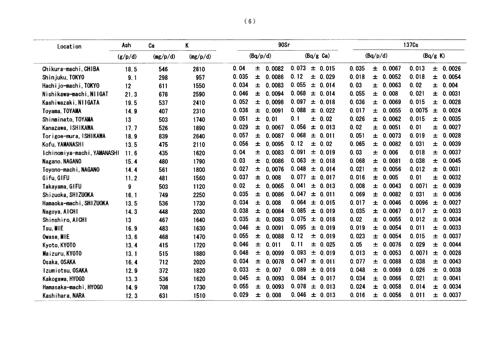| Location                    | Ash     | Ca       | K        |       | 90Sr                          |                         |                          | 137 <sub>Cs</sub>        |
|-----------------------------|---------|----------|----------|-------|-------------------------------|-------------------------|--------------------------|--------------------------|
|                             | (g/p/d) | (mg/p/d) | (mg/p/d) |       | (Bq/p/d)                      | $(Bq/g \text{ Ca})$     | (Bq/p/d)                 | (Bq/g K)                 |
| Chikura-machi, CHIBA        | 18.5    | 546      | 2610     | 0.04  | 0082<br>士<br>0.               | 0.073<br>± 0.015        | 0.035<br>0.0067<br>$\pm$ | 0.013<br>0.0026<br>土     |
| Shinjuku, TOKYO             | 9.1     | 298      | 957      | 0.035 | 0086<br>$\pm$<br>$\mathbf{0}$ | 0.12<br>士<br>0.029      | 0.018<br>$\pm 0.0052$    | 0.018<br>0.0054<br>Ŧ.    |
| Hachijo-machi, TOKYO        | 12      | 611      | 1550     | 0.034 | 0083<br>士<br>$\mathbf{0}$     | 0.055<br>0.014<br>$\pm$ | 0.03<br>0.0063<br>$\pm$  | 0.02<br>0.004<br>Ŧ       |
| Nishikawa-machi, NIIGAT     | 21.3    | 678      | 2590     | 0.046 | 0.0094<br>$\pm$               | 0.068<br>0.014<br>$\pm$ | 0.055<br>0.008<br>士      | 0.021<br>0.0031<br>土     |
| Kashiwazaki, NIIGATA        | 19.5    | 537      | 2410     | 0.052 | 0.0098<br>士                   | 0.097<br>$\pm 0.018$    | 0.036<br>0.0069<br>士     | 0.015<br>0.0028<br>Ŧ     |
| Toyama, TOYAMA              | 14.9    | 407      | 2310     | 0.036 | 0.0091<br>士                   | 0.088<br>$\pm 0.022$    | 0.017<br>0.0055<br>$\pm$ | 0.0075<br>0.0024<br>土    |
| Shinminato TOYAMA           | 13      | 503      | 1740     | 0.051 | 0.01<br>士                     | 0.1<br>$\pm$ 0.02       | 0.026<br>± 0.0062        | 0.015<br>0.0035<br>士     |
| Kanazawa, ISHIKAWA          | 17.7    | 526      | 1890     | 0.029 | 0.0067<br>士                   | 0.056<br>0.013<br>土     | 0.02<br>0.0051<br>土      | 0.01<br>0.0027<br>±.     |
| Torigoe-mura, ISHIKAWA      | 18.9    | 839      | 2640     | 0.057 | 0.0087<br>士                   | 0.068<br>士<br>0.011     | 0.051<br>0.0073<br>士     | 0.019<br>0.0028<br>土     |
| Kofu, YAMANASHI             | 13.5    | 475      | 2110     | 0.056 | 0.0095<br>$\pm$               | 0.12<br>$\pm$ 0.02      | 0.065<br>± 0.0082        | 0.031<br>0.0039<br>Ŧ.    |
| Ichinomiya-machi, YAMANASHI | 11.6    | 435      | 1620     | 0.04  | 0.0083<br>士                   | 0.091<br>0.019<br>士     | 0.03<br>0.006<br>$\pm$   | 0.018<br>0.0037<br>士     |
| Nagano, NAGANO              | 15.4    | 480      | 1790     | 0.03  | 0.0086<br>$\pm$               | 0.063<br>0.018<br>士     | 0.068<br>0.0081<br>士     | 0.038<br>0.0045<br>ᆂ     |
| Toyono-machi, NAGANO        | 14.4    | 561      | 1800     | 0.027 | 0.0076<br>$\pm$               | 0.048<br>0.014<br>士     | 0.021<br>0.0056<br>士     | 0.012<br>0.0031<br>土     |
| Gifu, GIFU                  | 11.2    | 481      | 1560     | 0.037 | 0.008<br>士                    | 0.077<br>0.017<br>士     | 0.016<br>0.005<br>士      | 0.01<br>0.0032<br>$\pm$  |
| Takayama, GIFU              | 9       | 503      | 1120     | 0.02  | 0.0065<br>$\pm$               | 0.041<br>± 0.013        | 0.008<br>0.0043<br>士     | 0.0071<br>0.0039<br>Ŧ.   |
| Shizuoka, SHIZUOKA          | 16.1    | 749      | 2250     | 0.035 | 0.0086<br>士                   | 0.047<br>0.011<br>土     | 0.069<br>0.0082<br>$\pm$ | 0.031<br>0.0036<br>士     |
| Hamaoka-machi, SHIZUOKA     | 13.5    | 536      | 1730     | 0.034 | 0.008<br>士                    | 0.064<br>± 0.015        | 0.017<br>0.0046<br>土     | 0.0096<br>0.0027<br>士    |
| Nagoya, AICHI               | 14.3    | 448      | 2030     | 0.038 | 士<br>0.0084                   | 0.085<br>± 0.019        | 0.035<br>0.0067<br>土     | $\pm 0.0033$<br>0.017    |
| Shinshiro, AICHI            | 13      | 467      | 1640     | 0.035 | 土<br>0.0083                   | 0.075<br>0.018<br>士     | 0.02<br>0.0055<br>士      | 0.012<br>0.0034<br>土     |
| Tsu, MIE                    | 16.9    | 483      | 1630     | 0.046 | 0.0091<br>土                   | 0.095<br>± 0.019        | 0.0054<br>0.019<br>$\pm$ | 0.011<br>0.0033<br>士     |
| Owase, MIE                  | 13.6    | 468      | 1470     | 0.055 | 0.0088<br>士                   | 0.12<br>± 0.019         | 0.023<br>0.0054<br>士     | 0.015<br>0.0037<br>$\pm$ |
| Kyoto, KYOTO                | 13.4    | 415      | 1720     | 0.046 | 0.011<br>士                    | 0.11<br>± 0.025         | 0.05<br>0.0076<br>士      | 0.029<br>0.0044<br>$\pm$ |
| Maizuru, KYOTO              | 13.1    | 515      | 1880     | 0.048 | 士<br>0.0099                   | 0.093<br>± 0.019        | 0.013<br>0.0053<br>士     | 0.0071<br>0.0028<br>士    |
| Osaka, OSAKA                | 16.4    | 712      | 2020     | 0.034 | 0.0078<br>士                   | 0.047<br>0.011<br>士     | 0.077<br>0.0088<br>士     | 0.0043<br>0.038<br>士     |
| Izumiotsu, OSAKA            | 12.9    | 372      | 1820     | 0.033 | 0.007<br>士                    | 0.089<br>0.019<br>士     | 0.048<br>0.0069<br>士     | 0.026<br>0.0038<br>ᆂ     |
| Kakogawa, HY0GO             | 13.3    | 536      | 1620     | 0.045 | 0.0093<br>$\pm$               | 0.084<br>± 0.017        | 0.034<br>0.0066<br>土     | 0.021<br>0.0041<br>土     |
| Hamasaka-machi, HYOGO       | 14.9    | 708      | 1730     | 0.055 | 0.0093<br>$\pm$               | 0.078<br>$\pm 0.013$    | 0.024<br>0.0058<br>$\pm$ | 0.014<br>0.0034<br>土     |
| Kashihara, NARA             | 12.3    | 631      | 1510     | 0.029 | 0.008<br>$\pm$                | 0.046<br>$\pm 0.013$    | 0.016<br>0.0056<br>士     | 0.011<br>0.0037<br>土     |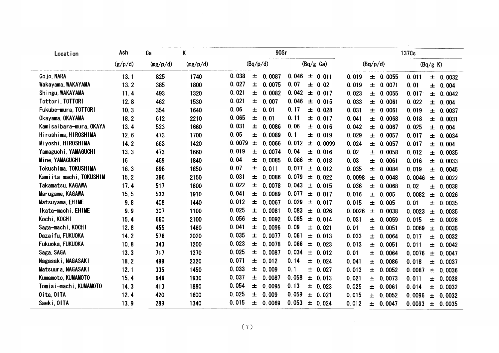| (Bq/p/d)<br>(Bq/g Ca)<br>(g/p/d)<br>(Bq/p/d)<br>(mg/p/d)<br>(mg/p/d)<br>(Bq/g K)<br>0.038<br>0.046<br>0087<br>Gojo, NARA<br>13.1<br>825<br>1740<br>土<br>0.<br>0.011<br>0.0055<br>士<br>0.019<br>0.011<br>士<br>土<br>0.027<br>0.07<br>Wakayama, WAKAYAMA<br>0.0075<br>13.2<br>385<br>1800<br>土<br>0.02<br>0.019<br>士<br>0.0071<br>0.01<br>$\pm$<br>土<br>0.021<br>0.042<br>Shingu, WAKAYAMA<br>士<br>0.0082<br>493<br>1320<br>$\pm 0.017$<br>0.023<br>11.4<br>0.0055<br>0.017<br>土<br>土<br>0.021<br>0.046<br>Tottor i, TOTTORI<br>0.007<br>0.033<br>12.8<br>462<br>1530<br>士<br>± 0.015<br>0.0061<br>0.022<br>$\pm$<br>土<br>0.06<br>0.17<br>Fukube-mura, TOTTORI<br>0.01<br>10.3<br>354<br>1640<br>土<br>± 0.028<br>0.031<br>0.019<br>0.0061<br>士<br>Ŧ.<br>0.065<br>0.11<br>Okayama, OKAYAMA<br>612<br>2210<br>$\pm$<br>0.01<br>± 0.017<br>0.041<br>18.2<br>0.0068<br>0.018<br>士<br>土<br>0.031<br>0.06<br>Kamisaibara-mura, OKAYA<br>13.4<br>523<br>1660<br>0.0086<br>± 0.016<br>0.042<br>土<br>0.0067<br>0.025<br>士<br>土<br>0.05<br>0.1<br>Hiroshima, HIROSHIMA<br>1700<br>土<br>0.0089<br>0.029<br>12.6<br>473<br>± 0.019<br>± 0.0057<br>0.017<br>0.0034<br>土<br>0.0079<br>Miyoshi, HIROSHIMA<br>0.0066<br>0.012<br>663<br>1420<br>0.024<br>14.2<br>士<br>$\pm$ 0.0099<br>0.0057<br>0.017<br>士<br>ᆂ<br>0.019<br>0.04<br>Yamaguchi, YAMAGUCHI<br>0.0074<br>473<br>土<br>0.02<br>13.3<br>1660<br>± 0.016<br>0.0058<br>0.012<br>$\pm$<br>土<br>0.04<br>Mine, YAMAGUCHI<br>0.086<br>士<br>0.0085<br>0.03<br>16<br>469<br>1840<br>± 0.018<br>0.0061<br>0.016<br>士<br>土<br>0.07<br>0.077<br>Tokushima, TOKUSHIMA<br>16.3<br>898<br>1850<br>土<br>0.011<br>0.035<br>$\pm$ 0.012<br>0.0084<br>0.019<br>士<br>ᆂ<br>0.031<br>0.079<br>Kamiita-machi, TOKUSHIM<br>396<br>2150<br>0.0086<br>15.2<br>士<br>$\pm$<br>0.022<br>0.0098<br>0.0048<br>0.0046<br>$\pm$<br>$\pm$<br>0.022<br>0.043<br>Takamatsu, KAGAWA<br>土<br>0.0078<br>17.4<br>517<br>1800<br>0.036<br>± 0.015<br>0.0068<br>0.02<br>土<br>土<br>0.041<br>0.077<br>Marugame, KAGAWA<br>0.0089<br>15.5<br>533<br>1910<br>士<br>0.016<br>士<br>0.017<br>0.005<br>0.0082<br>士<br>土<br>0.012<br>0.029<br>Matsuyama, EHIME<br>0.0067<br>9.8<br>408<br>1440<br>ᆂ<br>± 0.017<br>0.015<br>0.005<br>0.01<br>士<br>土<br>0.025<br>0.083<br>Ikata-machi, EHIME<br>307<br>1100<br>土<br>0.0081<br>0.0026<br>9.9<br>± 0.026<br>0.0038<br>0.0023<br>土<br>土<br>0.056<br>Kochi, KOCHI<br>0.085<br>15.4<br>660<br>2100<br>土<br>0.0092<br>0.031<br>± 0.014<br>0.0059<br>0.015<br>士<br>士<br>0.041<br>0.09<br>Saga-machi, KOCHI<br>1480<br>士<br>0.0096<br>12.8<br>455<br>$\pm 0.021$<br>0.01<br>0.0051<br>0.0069<br>土<br>士<br>0.035<br>0.061<br>Dazaifu, FUKUOKA<br>0.0077<br>14.2<br>576<br>2020<br>土<br>0.033<br>$\pm 0.013$<br>0.0064<br>0.017<br>土<br>土<br>0.023<br>0.066<br>Fukuoka, FUKUOKA<br>343<br>士<br>0.0078<br>10.8<br>1200<br>$\pm 0.023$<br>0.013<br>0.0051<br>0.011<br>士<br>$\pm$<br>0.025<br>0.034<br>Saga, SAGA<br>13.3<br>717<br>1370<br>士<br>0.0087<br>0.01<br>$\pm 0.012$<br>0.0064<br>0.0076<br>士<br>$\pm$<br>0.071<br>0.14<br>Nagasaki, NAGASAKI<br>499<br>2320<br>0.012<br>18.2<br>士<br>± 0.024<br>0.041<br>0.0086<br>0.018<br>$\pm$<br>士<br>0.033<br>0.1<br>Matsuura, NAGASAKI<br>12.1<br>335<br>1450<br>土<br>0.009<br>$\pm 0.027$<br>0.013<br>0.0052<br>土<br>0.0087<br>0.0036<br>ᆂ<br>0.037<br>0.058<br>Kumamoto, KUMAMOTO<br>土<br>0.0087<br>15.4<br>646<br>1930<br>$\pm 0.013$<br>0.021<br>0.0073<br>0.011<br>$\pm$<br>士<br>0.054<br>0.13<br>Tomiai-machi, KUMAMOTO<br>413<br>1880<br>土<br>0.0095<br>0.025<br>14.3<br>土<br>0.023<br>0.0061<br>0.014<br>士<br>0.0032<br>士<br>0.025<br>0.059<br>Oita, OITA<br>12.4<br>420<br>1600<br>0.009<br>士<br>$\pm 0.021$<br>0.015<br>0.0052<br>0.0096<br>0.0032<br>土<br>士<br>0.015<br>0.053<br>Saeki, OITA<br>0.0069<br>13.9<br>289<br>1340<br>土<br>0.012<br>$\pm 0.024$<br>0.0047<br>0.0093<br>0.0035<br>土<br>士<br>(7) |  | 0.0032<br>0.004<br>0.0042<br>0.004<br>0.0037<br>0.0031<br>0.004 |
|--------------------------------------------------------------------------------------------------------------------------------------------------------------------------------------------------------------------------------------------------------------------------------------------------------------------------------------------------------------------------------------------------------------------------------------------------------------------------------------------------------------------------------------------------------------------------------------------------------------------------------------------------------------------------------------------------------------------------------------------------------------------------------------------------------------------------------------------------------------------------------------------------------------------------------------------------------------------------------------------------------------------------------------------------------------------------------------------------------------------------------------------------------------------------------------------------------------------------------------------------------------------------------------------------------------------------------------------------------------------------------------------------------------------------------------------------------------------------------------------------------------------------------------------------------------------------------------------------------------------------------------------------------------------------------------------------------------------------------------------------------------------------------------------------------------------------------------------------------------------------------------------------------------------------------------------------------------------------------------------------------------------------------------------------------------------------------------------------------------------------------------------------------------------------------------------------------------------------------------------------------------------------------------------------------------------------------------------------------------------------------------------------------------------------------------------------------------------------------------------------------------------------------------------------------------------------------------------------------------------------------------------------------------------------------------------------------------------------------------------------------------------------------------------------------------------------------------------------------------------------------------------------------------------------------------------------------------------------------------------------------------------------------------------------------------------------------------------------------------------------------------------------------------------------------------------------------------------------------------------------------------------------------------------------------------------------------------------------------------------------------------------------------------------------------------------------------------------------------------------------------------------------------------------------------------------------------------------------------------------------------------------------------------------------------------------------------------------------------------------------------------------------------------------------------------------------------------------------------------------------------------------|--|-----------------------------------------------------------------|
|                                                                                                                                                                                                                                                                                                                                                                                                                                                                                                                                                                                                                                                                                                                                                                                                                                                                                                                                                                                                                                                                                                                                                                                                                                                                                                                                                                                                                                                                                                                                                                                                                                                                                                                                                                                                                                                                                                                                                                                                                                                                                                                                                                                                                                                                                                                                                                                                                                                                                                                                                                                                                                                                                                                                                                                                                                                                                                                                                                                                                                                                                                                                                                                                                                                                                                                                                                                                                                                                                                                                                                                                                                                                                                                                                                                                                                                                                            |  |                                                                 |
|                                                                                                                                                                                                                                                                                                                                                                                                                                                                                                                                                                                                                                                                                                                                                                                                                                                                                                                                                                                                                                                                                                                                                                                                                                                                                                                                                                                                                                                                                                                                                                                                                                                                                                                                                                                                                                                                                                                                                                                                                                                                                                                                                                                                                                                                                                                                                                                                                                                                                                                                                                                                                                                                                                                                                                                                                                                                                                                                                                                                                                                                                                                                                                                                                                                                                                                                                                                                                                                                                                                                                                                                                                                                                                                                                                                                                                                                                            |  |                                                                 |
|                                                                                                                                                                                                                                                                                                                                                                                                                                                                                                                                                                                                                                                                                                                                                                                                                                                                                                                                                                                                                                                                                                                                                                                                                                                                                                                                                                                                                                                                                                                                                                                                                                                                                                                                                                                                                                                                                                                                                                                                                                                                                                                                                                                                                                                                                                                                                                                                                                                                                                                                                                                                                                                                                                                                                                                                                                                                                                                                                                                                                                                                                                                                                                                                                                                                                                                                                                                                                                                                                                                                                                                                                                                                                                                                                                                                                                                                                            |  |                                                                 |
|                                                                                                                                                                                                                                                                                                                                                                                                                                                                                                                                                                                                                                                                                                                                                                                                                                                                                                                                                                                                                                                                                                                                                                                                                                                                                                                                                                                                                                                                                                                                                                                                                                                                                                                                                                                                                                                                                                                                                                                                                                                                                                                                                                                                                                                                                                                                                                                                                                                                                                                                                                                                                                                                                                                                                                                                                                                                                                                                                                                                                                                                                                                                                                                                                                                                                                                                                                                                                                                                                                                                                                                                                                                                                                                                                                                                                                                                                            |  |                                                                 |
|                                                                                                                                                                                                                                                                                                                                                                                                                                                                                                                                                                                                                                                                                                                                                                                                                                                                                                                                                                                                                                                                                                                                                                                                                                                                                                                                                                                                                                                                                                                                                                                                                                                                                                                                                                                                                                                                                                                                                                                                                                                                                                                                                                                                                                                                                                                                                                                                                                                                                                                                                                                                                                                                                                                                                                                                                                                                                                                                                                                                                                                                                                                                                                                                                                                                                                                                                                                                                                                                                                                                                                                                                                                                                                                                                                                                                                                                                            |  |                                                                 |
|                                                                                                                                                                                                                                                                                                                                                                                                                                                                                                                                                                                                                                                                                                                                                                                                                                                                                                                                                                                                                                                                                                                                                                                                                                                                                                                                                                                                                                                                                                                                                                                                                                                                                                                                                                                                                                                                                                                                                                                                                                                                                                                                                                                                                                                                                                                                                                                                                                                                                                                                                                                                                                                                                                                                                                                                                                                                                                                                                                                                                                                                                                                                                                                                                                                                                                                                                                                                                                                                                                                                                                                                                                                                                                                                                                                                                                                                                            |  |                                                                 |
|                                                                                                                                                                                                                                                                                                                                                                                                                                                                                                                                                                                                                                                                                                                                                                                                                                                                                                                                                                                                                                                                                                                                                                                                                                                                                                                                                                                                                                                                                                                                                                                                                                                                                                                                                                                                                                                                                                                                                                                                                                                                                                                                                                                                                                                                                                                                                                                                                                                                                                                                                                                                                                                                                                                                                                                                                                                                                                                                                                                                                                                                                                                                                                                                                                                                                                                                                                                                                                                                                                                                                                                                                                                                                                                                                                                                                                                                                            |  |                                                                 |
|                                                                                                                                                                                                                                                                                                                                                                                                                                                                                                                                                                                                                                                                                                                                                                                                                                                                                                                                                                                                                                                                                                                                                                                                                                                                                                                                                                                                                                                                                                                                                                                                                                                                                                                                                                                                                                                                                                                                                                                                                                                                                                                                                                                                                                                                                                                                                                                                                                                                                                                                                                                                                                                                                                                                                                                                                                                                                                                                                                                                                                                                                                                                                                                                                                                                                                                                                                                                                                                                                                                                                                                                                                                                                                                                                                                                                                                                                            |  |                                                                 |
|                                                                                                                                                                                                                                                                                                                                                                                                                                                                                                                                                                                                                                                                                                                                                                                                                                                                                                                                                                                                                                                                                                                                                                                                                                                                                                                                                                                                                                                                                                                                                                                                                                                                                                                                                                                                                                                                                                                                                                                                                                                                                                                                                                                                                                                                                                                                                                                                                                                                                                                                                                                                                                                                                                                                                                                                                                                                                                                                                                                                                                                                                                                                                                                                                                                                                                                                                                                                                                                                                                                                                                                                                                                                                                                                                                                                                                                                                            |  |                                                                 |
|                                                                                                                                                                                                                                                                                                                                                                                                                                                                                                                                                                                                                                                                                                                                                                                                                                                                                                                                                                                                                                                                                                                                                                                                                                                                                                                                                                                                                                                                                                                                                                                                                                                                                                                                                                                                                                                                                                                                                                                                                                                                                                                                                                                                                                                                                                                                                                                                                                                                                                                                                                                                                                                                                                                                                                                                                                                                                                                                                                                                                                                                                                                                                                                                                                                                                                                                                                                                                                                                                                                                                                                                                                                                                                                                                                                                                                                                                            |  | 0.004                                                           |
|                                                                                                                                                                                                                                                                                                                                                                                                                                                                                                                                                                                                                                                                                                                                                                                                                                                                                                                                                                                                                                                                                                                                                                                                                                                                                                                                                                                                                                                                                                                                                                                                                                                                                                                                                                                                                                                                                                                                                                                                                                                                                                                                                                                                                                                                                                                                                                                                                                                                                                                                                                                                                                                                                                                                                                                                                                                                                                                                                                                                                                                                                                                                                                                                                                                                                                                                                                                                                                                                                                                                                                                                                                                                                                                                                                                                                                                                                            |  | 0.0035                                                          |
|                                                                                                                                                                                                                                                                                                                                                                                                                                                                                                                                                                                                                                                                                                                                                                                                                                                                                                                                                                                                                                                                                                                                                                                                                                                                                                                                                                                                                                                                                                                                                                                                                                                                                                                                                                                                                                                                                                                                                                                                                                                                                                                                                                                                                                                                                                                                                                                                                                                                                                                                                                                                                                                                                                                                                                                                                                                                                                                                                                                                                                                                                                                                                                                                                                                                                                                                                                                                                                                                                                                                                                                                                                                                                                                                                                                                                                                                                            |  | 0.0033                                                          |
|                                                                                                                                                                                                                                                                                                                                                                                                                                                                                                                                                                                                                                                                                                                                                                                                                                                                                                                                                                                                                                                                                                                                                                                                                                                                                                                                                                                                                                                                                                                                                                                                                                                                                                                                                                                                                                                                                                                                                                                                                                                                                                                                                                                                                                                                                                                                                                                                                                                                                                                                                                                                                                                                                                                                                                                                                                                                                                                                                                                                                                                                                                                                                                                                                                                                                                                                                                                                                                                                                                                                                                                                                                                                                                                                                                                                                                                                                            |  | 0.0045                                                          |
|                                                                                                                                                                                                                                                                                                                                                                                                                                                                                                                                                                                                                                                                                                                                                                                                                                                                                                                                                                                                                                                                                                                                                                                                                                                                                                                                                                                                                                                                                                                                                                                                                                                                                                                                                                                                                                                                                                                                                                                                                                                                                                                                                                                                                                                                                                                                                                                                                                                                                                                                                                                                                                                                                                                                                                                                                                                                                                                                                                                                                                                                                                                                                                                                                                                                                                                                                                                                                                                                                                                                                                                                                                                                                                                                                                                                                                                                                            |  | 0.0022                                                          |
|                                                                                                                                                                                                                                                                                                                                                                                                                                                                                                                                                                                                                                                                                                                                                                                                                                                                                                                                                                                                                                                                                                                                                                                                                                                                                                                                                                                                                                                                                                                                                                                                                                                                                                                                                                                                                                                                                                                                                                                                                                                                                                                                                                                                                                                                                                                                                                                                                                                                                                                                                                                                                                                                                                                                                                                                                                                                                                                                                                                                                                                                                                                                                                                                                                                                                                                                                                                                                                                                                                                                                                                                                                                                                                                                                                                                                                                                                            |  | 0.0038                                                          |
|                                                                                                                                                                                                                                                                                                                                                                                                                                                                                                                                                                                                                                                                                                                                                                                                                                                                                                                                                                                                                                                                                                                                                                                                                                                                                                                                                                                                                                                                                                                                                                                                                                                                                                                                                                                                                                                                                                                                                                                                                                                                                                                                                                                                                                                                                                                                                                                                                                                                                                                                                                                                                                                                                                                                                                                                                                                                                                                                                                                                                                                                                                                                                                                                                                                                                                                                                                                                                                                                                                                                                                                                                                                                                                                                                                                                                                                                                            |  | 0.0026                                                          |
|                                                                                                                                                                                                                                                                                                                                                                                                                                                                                                                                                                                                                                                                                                                                                                                                                                                                                                                                                                                                                                                                                                                                                                                                                                                                                                                                                                                                                                                                                                                                                                                                                                                                                                                                                                                                                                                                                                                                                                                                                                                                                                                                                                                                                                                                                                                                                                                                                                                                                                                                                                                                                                                                                                                                                                                                                                                                                                                                                                                                                                                                                                                                                                                                                                                                                                                                                                                                                                                                                                                                                                                                                                                                                                                                                                                                                                                                                            |  | 0.0035                                                          |
|                                                                                                                                                                                                                                                                                                                                                                                                                                                                                                                                                                                                                                                                                                                                                                                                                                                                                                                                                                                                                                                                                                                                                                                                                                                                                                                                                                                                                                                                                                                                                                                                                                                                                                                                                                                                                                                                                                                                                                                                                                                                                                                                                                                                                                                                                                                                                                                                                                                                                                                                                                                                                                                                                                                                                                                                                                                                                                                                                                                                                                                                                                                                                                                                                                                                                                                                                                                                                                                                                                                                                                                                                                                                                                                                                                                                                                                                                            |  | 0.0035                                                          |
|                                                                                                                                                                                                                                                                                                                                                                                                                                                                                                                                                                                                                                                                                                                                                                                                                                                                                                                                                                                                                                                                                                                                                                                                                                                                                                                                                                                                                                                                                                                                                                                                                                                                                                                                                                                                                                                                                                                                                                                                                                                                                                                                                                                                                                                                                                                                                                                                                                                                                                                                                                                                                                                                                                                                                                                                                                                                                                                                                                                                                                                                                                                                                                                                                                                                                                                                                                                                                                                                                                                                                                                                                                                                                                                                                                                                                                                                                            |  | 0.0028                                                          |
|                                                                                                                                                                                                                                                                                                                                                                                                                                                                                                                                                                                                                                                                                                                                                                                                                                                                                                                                                                                                                                                                                                                                                                                                                                                                                                                                                                                                                                                                                                                                                                                                                                                                                                                                                                                                                                                                                                                                                                                                                                                                                                                                                                                                                                                                                                                                                                                                                                                                                                                                                                                                                                                                                                                                                                                                                                                                                                                                                                                                                                                                                                                                                                                                                                                                                                                                                                                                                                                                                                                                                                                                                                                                                                                                                                                                                                                                                            |  | 0.0035                                                          |
|                                                                                                                                                                                                                                                                                                                                                                                                                                                                                                                                                                                                                                                                                                                                                                                                                                                                                                                                                                                                                                                                                                                                                                                                                                                                                                                                                                                                                                                                                                                                                                                                                                                                                                                                                                                                                                                                                                                                                                                                                                                                                                                                                                                                                                                                                                                                                                                                                                                                                                                                                                                                                                                                                                                                                                                                                                                                                                                                                                                                                                                                                                                                                                                                                                                                                                                                                                                                                                                                                                                                                                                                                                                                                                                                                                                                                                                                                            |  | 0.0032                                                          |
|                                                                                                                                                                                                                                                                                                                                                                                                                                                                                                                                                                                                                                                                                                                                                                                                                                                                                                                                                                                                                                                                                                                                                                                                                                                                                                                                                                                                                                                                                                                                                                                                                                                                                                                                                                                                                                                                                                                                                                                                                                                                                                                                                                                                                                                                                                                                                                                                                                                                                                                                                                                                                                                                                                                                                                                                                                                                                                                                                                                                                                                                                                                                                                                                                                                                                                                                                                                                                                                                                                                                                                                                                                                                                                                                                                                                                                                                                            |  | 0.0042                                                          |
|                                                                                                                                                                                                                                                                                                                                                                                                                                                                                                                                                                                                                                                                                                                                                                                                                                                                                                                                                                                                                                                                                                                                                                                                                                                                                                                                                                                                                                                                                                                                                                                                                                                                                                                                                                                                                                                                                                                                                                                                                                                                                                                                                                                                                                                                                                                                                                                                                                                                                                                                                                                                                                                                                                                                                                                                                                                                                                                                                                                                                                                                                                                                                                                                                                                                                                                                                                                                                                                                                                                                                                                                                                                                                                                                                                                                                                                                                            |  | 0.0047                                                          |
|                                                                                                                                                                                                                                                                                                                                                                                                                                                                                                                                                                                                                                                                                                                                                                                                                                                                                                                                                                                                                                                                                                                                                                                                                                                                                                                                                                                                                                                                                                                                                                                                                                                                                                                                                                                                                                                                                                                                                                                                                                                                                                                                                                                                                                                                                                                                                                                                                                                                                                                                                                                                                                                                                                                                                                                                                                                                                                                                                                                                                                                                                                                                                                                                                                                                                                                                                                                                                                                                                                                                                                                                                                                                                                                                                                                                                                                                                            |  | 0.0037                                                          |
|                                                                                                                                                                                                                                                                                                                                                                                                                                                                                                                                                                                                                                                                                                                                                                                                                                                                                                                                                                                                                                                                                                                                                                                                                                                                                                                                                                                                                                                                                                                                                                                                                                                                                                                                                                                                                                                                                                                                                                                                                                                                                                                                                                                                                                                                                                                                                                                                                                                                                                                                                                                                                                                                                                                                                                                                                                                                                                                                                                                                                                                                                                                                                                                                                                                                                                                                                                                                                                                                                                                                                                                                                                                                                                                                                                                                                                                                                            |  |                                                                 |
|                                                                                                                                                                                                                                                                                                                                                                                                                                                                                                                                                                                                                                                                                                                                                                                                                                                                                                                                                                                                                                                                                                                                                                                                                                                                                                                                                                                                                                                                                                                                                                                                                                                                                                                                                                                                                                                                                                                                                                                                                                                                                                                                                                                                                                                                                                                                                                                                                                                                                                                                                                                                                                                                                                                                                                                                                                                                                                                                                                                                                                                                                                                                                                                                                                                                                                                                                                                                                                                                                                                                                                                                                                                                                                                                                                                                                                                                                            |  | 0.0038                                                          |
|                                                                                                                                                                                                                                                                                                                                                                                                                                                                                                                                                                                                                                                                                                                                                                                                                                                                                                                                                                                                                                                                                                                                                                                                                                                                                                                                                                                                                                                                                                                                                                                                                                                                                                                                                                                                                                                                                                                                                                                                                                                                                                                                                                                                                                                                                                                                                                                                                                                                                                                                                                                                                                                                                                                                                                                                                                                                                                                                                                                                                                                                                                                                                                                                                                                                                                                                                                                                                                                                                                                                                                                                                                                                                                                                                                                                                                                                                            |  |                                                                 |
|                                                                                                                                                                                                                                                                                                                                                                                                                                                                                                                                                                                                                                                                                                                                                                                                                                                                                                                                                                                                                                                                                                                                                                                                                                                                                                                                                                                                                                                                                                                                                                                                                                                                                                                                                                                                                                                                                                                                                                                                                                                                                                                                                                                                                                                                                                                                                                                                                                                                                                                                                                                                                                                                                                                                                                                                                                                                                                                                                                                                                                                                                                                                                                                                                                                                                                                                                                                                                                                                                                                                                                                                                                                                                                                                                                                                                                                                                            |  |                                                                 |
|                                                                                                                                                                                                                                                                                                                                                                                                                                                                                                                                                                                                                                                                                                                                                                                                                                                                                                                                                                                                                                                                                                                                                                                                                                                                                                                                                                                                                                                                                                                                                                                                                                                                                                                                                                                                                                                                                                                                                                                                                                                                                                                                                                                                                                                                                                                                                                                                                                                                                                                                                                                                                                                                                                                                                                                                                                                                                                                                                                                                                                                                                                                                                                                                                                                                                                                                                                                                                                                                                                                                                                                                                                                                                                                                                                                                                                                                                            |  |                                                                 |
|                                                                                                                                                                                                                                                                                                                                                                                                                                                                                                                                                                                                                                                                                                                                                                                                                                                                                                                                                                                                                                                                                                                                                                                                                                                                                                                                                                                                                                                                                                                                                                                                                                                                                                                                                                                                                                                                                                                                                                                                                                                                                                                                                                                                                                                                                                                                                                                                                                                                                                                                                                                                                                                                                                                                                                                                                                                                                                                                                                                                                                                                                                                                                                                                                                                                                                                                                                                                                                                                                                                                                                                                                                                                                                                                                                                                                                                                                            |  |                                                                 |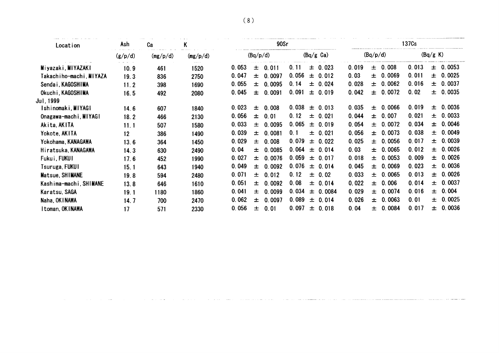| Location                       | Ash                | Ca       | K        |       |          | 90Sr         |       |       |                     |       |          |          | 137 <sub>Cs</sub> |          |              |
|--------------------------------|--------------------|----------|----------|-------|----------|--------------|-------|-------|---------------------|-------|----------|----------|-------------------|----------|--------------|
|                                | (g/p/d)            | (mg/p/d) | (mg/p/d) |       | (Bq/p/d) |              |       |       | $(Bq/g \text{ Ca})$ |       | (Bq/p/d) |          |                   | (Bq/g K) |              |
| Miyazaki, MIYAZAKI             | بالمستقالة<br>10.9 | 461      | 1520     | 0.053 | $\pm$    | 0.011        | 0.11  |       | $\pm 0.023$         | 0.019 |          | ± 0.008  | 0.013             |          | $\pm 0.0053$ |
| Takachiho-machi, MIYAZA        | 19.3               | 836      | 2750     | 0.047 | 土        | 0.0097       | 0.056 |       | $\pm 0.012$         | 0.03  |          | ± 0.0069 | 0.011             |          | ± 0.0025     |
| Sendai, KAGOSHIMA              | 11.2               | 398      | 1690     | 0.055 |          | $\pm 0.0095$ | 0.14  |       | ± 0.024             | 0.028 |          | ± 0.0062 | 0.016             |          | ± 0.0037     |
| Okuchi, KAGOSHIMA<br>Jul. 1999 | 16.5               | 492      | 2080     | 0.045 | $\pm$    | 0.0091       | 0.091 |       | ± 0.019             | 0.042 |          | ± 0.0072 | 0.02              |          | ± 0.0035     |
| Ishinomaki, MIYAGI             | 14.6               | 607      | 1840     | 0.023 | 士        | 0.008        | 0.038 | 士     | 0.013               | 0.035 |          | ± 0.0066 | 0.019             | 土        | 0.0036       |
| Onagawa-machi, MIYAGI          | 18.2               | 466      | 2130     | 0.056 | $\pm$    | 0.01         | 0.12  | 士     | 0.021               | 0.044 | $\pm$    | 0.007    | 0.021             | 土        | 0.0033       |
| Akita, AKITA                   | 11.1               | 507      | 1580     | 0.033 | $\pm$    | 0.0095       | 0.065 | $\pm$ | 0.019               | 0.054 | 土        | 0.0072   | 0.034             | 士        | 0.0046       |
| Yokote, AKITA                  | 12                 | 386      | 1490     | 0.039 |          | $\pm$ 0.0081 | 0.1   | 土     | 0.021               | 0.056 | 土        | 0.0073   | 0.038             | $\pm$    | 0.0049       |
| Yokohama, KANAGAWA             | 13.6               | 364      | 1450     | 0.029 | 士        | 0.008        | 0.079 | $\pm$ | 0.022               | 0.025 | 士        | 0.0056   | 0.017             | 士        | 0.0039       |
| Hiratsuka, KANAGAWA            | 14.3               | 630      | 2490     | 0.04  | 士        | 0.0085       | 0.064 | $\pm$ | 0.014               | 0.03  |          | ± 0.0065 | 0.012             | 士        | 0.0026       |
| Fukui, FUKUI                   | 17.6               | 452      | 1990     | 0.027 | 士        | 0.0076       | 0.059 | 士     | 0.017               | 0.018 | $\pm$    | 0.0053   | 0.009             | $\pm$    | 0.0026       |
| Tsuruga, FUKUI                 | 15.1               | 643      | 1940     | 0.049 | 士        | 0.0092       | 0.076 | $\pm$ | 0.014               | 0.045 | 士        | 0.0069   | 0.023             | 土        | 0.0036       |
| Matsue, SHIMANE                | 19.8               | 594      | 2480     | 0.071 | $\pm$    | 0.012        | 0.12  | $\pm$ | 0.02                | 0.033 | 士        | 0.0065   | 0.013             | $\pm$    | 0.0026       |
| Kashima-machi, SHIMANE         | 13.8               | 646      | 1610     | 0.051 | $\pm$    | 0.0092       | 0.08  |       | ± 0.014             | 0.022 |          | ± 0.006  | 0.014             | $\pm$    | 0.0037       |
| Karatsu, SAGA                  | 19.1               | 1180     | 1860     | 0.041 |          | ± 0.0099     | 0.034 |       | $\pm 0.0084$        | 0.029 |          | ± 0.0074 | 0.016             | 士        | 0.004        |
| Naha, OKINAWA                  | 14.7               | 700      | 2470     | 0.062 |          | $\pm 0.0097$ | 0.089 |       | ± 0.014             | 0.026 |          | ± 0.0063 | 0.01              | 士        | 0.0025       |
| I toman, OKINAWA               | 17                 | 571      | 2330     | 0.056 | 士        | 0.01         | 0.097 | $\pm$ | 0.018               | 0.04  |          | ± 0.0084 | 0.017             |          | ± 0.0036     |
|                                |                    |          |          |       |          |              |       |       |                     |       |          |          |                   |          |              |
|                                |                    |          |          |       |          |              |       |       |                     |       |          |          |                   |          |              |
|                                |                    |          |          |       |          |              |       |       |                     |       |          |          |                   |          |              |
|                                |                    |          |          |       |          |              |       |       |                     |       |          |          |                   |          |              |
|                                |                    |          |          |       |          |              |       |       |                     |       |          |          |                   |          |              |

 $\sim$ 

and a company

 $\mathcal{A}_{\mathcal{A}}$  and  $\mathcal{A}_{\mathcal{A}}$  are the set of the set of  $\mathcal{A}_{\mathcal{A}}$ 

 $\sim$  $\sim$   $\sim$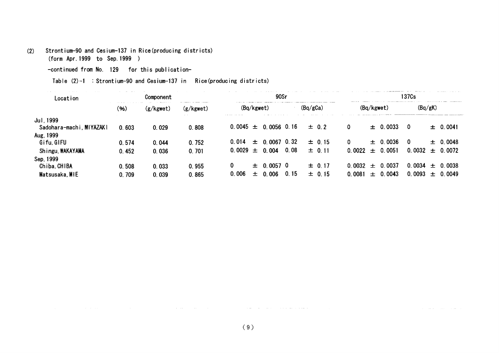## (2) Strontium-90and Cesium-137in Rice(producing districts)

(form Apr.1999 to Sep.1999)

-continued from No. 129 for this publication-

Table (2)-1: Strontium-90 and Cesium-137 in Rice(producing districts)

| Location                 |       | Component |           |                          | 90Sr                        |                        | 137Cs                      |
|--------------------------|-------|-----------|-----------|--------------------------|-----------------------------|------------------------|----------------------------|
|                          | (96)  | (g/kgwet) | (g/kgwet) | (Ba/kgwet)               | (Bq/gCa)                    | (Bq/kgwet)             | (Bq/gK)                    |
| Jul. 1999                |       |           | . .       |                          |                             |                        |                            |
| Sadohara-machi, MIYAZAKI | 0.603 | 0.029     | 0.808     | $0.0045 \pm 0.0056$ 0.16 | $\pm$ 0.2                   | $\pm$ 0.0033<br>0      | $\pm$ 0.0041<br>0          |
| Aug. 1999                |       |           |           |                          |                             |                        |                            |
| Gifu, GIFU               | 0.574 | 0.044     | 0.752     | 0.014<br>$\pm$           | $0.0067$ 0.32<br>$\pm$ 0.15 | $\pm$ 0.0036           | $\pm$ 0.0048<br>0          |
| Shingu, WAKAYAMA         | 0.452 | 0.036     | 0.701     | 0.0029 $\pm$<br>0.004    | 0.08<br>$\pm 0.11$          | $0.0022 \pm$<br>0.0051 | 0.0032<br>$\pm$ 0.0072     |
| Sep, 1999                |       |           |           |                          |                             |                        |                            |
| Chiba, CHIBA             | 0.508 | 0.033     | 0.955     | 0<br>士                   | $0.0057$ 0<br>$\pm 0.17$    | 0.0037<br>0.0032 $\pm$ | 0.0034<br>-0.0038<br>$\pm$ |
| Matsusaka, MIE           | 0.709 | 0.039     | 0.865     | 0.006<br>.006<br>土       | 0.15<br>$\pm 0.15$          | .0043<br>0.0081<br>$+$ | 0.0093<br>0.0049<br>$+$    |

التستجد والمحاولات والمتحدث

الصائد المتباري المتعاطف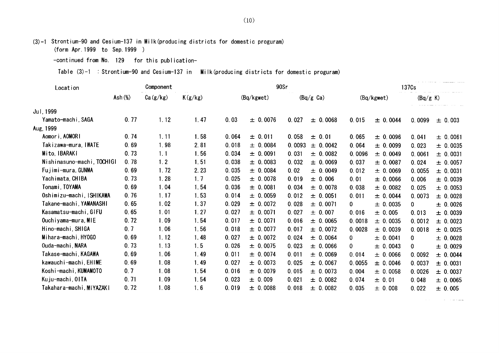(3)-1Strontium-90and Cesium-137in Milk(producing districts for domestic proguram)

(form Apr.1999 to Sep.1999)

-continued from No. 129 for this publication-

Table  $(3)-1$ : Strontium-90 and Cesium-137 in Milk(producing districts for domestic proguram)

| Location                   | Component  |          |         |       |            | 90Sr   |                     | 137 <sub>Cs</sub> |              |              |          |  |  |
|----------------------------|------------|----------|---------|-------|------------|--------|---------------------|-------------------|--------------|--------------|----------|--|--|
|                            | Ash $(\%)$ | Ca(g/kg) | K(g/kg) |       | (Bq/kgwet) |        | $(Bq/g \text{ Ca})$ |                   | (Bq/kgwet)   | (Bq/g K)     |          |  |  |
| Jul. 1999                  |            |          |         |       |            |        |                     |                   |              |              |          |  |  |
| Yamato-machi,SAGA          | 0.77       | 1.12     | 1.47    | 0.03  | ± 0.0076   | 0.027  | ± 0.0068            | 0.015             | ± 0.0044     | 0.0099       | ± 0.003  |  |  |
| Aug, 1999                  |            |          |         |       |            |        |                     |                   |              |              |          |  |  |
| Aomori, AOMORI             | 0.74       | 1.11     | 1.58    | 0.064 | ± 0.011    | 0.058  | $\pm$<br>0.01       | 0.065             | ± 0.0096     | 0.041        | ± 0.0061 |  |  |
| Takizawa-mura, IWATE       | 0.69       | 1.98     | 2.81    | 0.018 | ± 0.0084   | 0.0093 | ± 0.0042            | 0.064             | ± 0.0099     | 0.023        | ± 0.0035 |  |  |
| Mito, IBARAKI              | 0.73       | 1.1      | 1.56    | 0.034 | ± 0.0091   | 0.031  | ± 0.0082            | 0.0096            | ± 0.0049     | 0.0061       | ± 0.0031 |  |  |
| Nishinasuno-machi, TOCHIGI | 0.78       | 1.2      | 1.51    | 0.038 | ± 0.0083   | 0.032  | ± 0.0069            | 0.037             | ± 0.0087     | 0.024        | ± 0.0057 |  |  |
| Fujimi-mura, GUNMA         | 0.69       | 1.72     | 2.23    | 0.035 | ± 0.0084   | 0.02   | ± 0.0049            | 0.012             | ± 0.0069     | 0.0055       | ± 0.0031 |  |  |
| Yachimata, CHIBA           | 0.73       | 1.28     | 1.7     | 0.025 | ± 0.0078   | 0.019  | ± 0.006             | 0.01              | ± 0.0066     | 0.006        | ± 0.0039 |  |  |
| Tonami, TOYAMA             | 0.69       | 1.04     | 1.54    | 0.036 | ± 0.0081   | 0.034  | ± 0.0078            | 0.038             | ± 0.0082     | 0.025        | ± 0.0053 |  |  |
| Oshimizu-machi, ISHIKAWA   | 0.76       | 1.17     | 1.53    | 0.014 | ± 0.0059   | 0.012  | ± 0.0051            | 0.011             | ± 0.0044     | 0.0073       | ± 0.0028 |  |  |
| Takane-machi, YAMANASHI    | 0.65       | 1.02     | 1.37    | 0.029 | ± 0.0072   | 0.028  | ± 0.0071            | 0.                | ± 0.0035     | 0            | ± 0.0026 |  |  |
| Kasamatsu-machi GIFU       | 0.65       | 1.01     | 1.27    | 0.027 | ± 0.0071   | 0.027  | ± 0.007             | 0.016             | ± 0.005      | 0.013        | ± 0.0039 |  |  |
| Ouchiyama-mura, MIE        | 0.72       | 1.09     | 1.54    | 0.017 | ± 0.0071   | 0.016  | ± 0.0065            | 0.0018            | ± 0.0035     | 0.0012       | ± 0.0023 |  |  |
| Hino-machi, SHIGA          | 0.7        | 1.06     | 1.56    | 0.018 | ± 0.0077   | 0.017  | ± 0.0072            | 0.0028            | $\pm 0.0039$ | 0.0018       | ± 0.0025 |  |  |
| Mihara-machi HYOGO         | 0.69       | 1.12     | 1.48    | 0.027 | ± 0.0072   | 0.024  | ± 0.0064            | 0                 | ± 0.0041     | 0            | ± 0.0028 |  |  |
| Ouda-machi, NARA           | 0.73       | 1.13     | 1.5     | 0.026 | ± 0.0075   | 0.023  | ± 0.0066            | 0                 | ± 0.0043     | $\mathbf{0}$ | ± 0.0029 |  |  |
| Takase-machi,KAGAWA        | 0.69       | 1.06     | 1.49    | 0.011 | ± 0.0074   | 0.011  | ± 0.0069            | 0.014             | ± 0.0066     | 0.0092       | ± 0.0044 |  |  |
| kawauchi-machi, EHIME      | 0.69       | 1.08     | 1.49    | 0.027 | ± 0.0073   | 0.025  | ± 0.0067            | 0.0055            | ± 0.0046     | 0.0037       | ± 0.0031 |  |  |
| Koshi-machi, KUMAMOTO      | 0.7        | 1.08     | 1.54    | 0.016 | ± 0.0079   | 0.015  | ± 0.0073            | 0.004             | ± 0.0058     | 0.0026       | ± 0.0037 |  |  |
| Kuju-machi, OITA           | 0.71       | 1.09     | 1.54    | 0.023 | ± 0.009    | 0.021  | ± 0.0082            | 0.074             | ± 0.01       | 0.048        | ± 0.0065 |  |  |
| Takahara-machi,MIYAZAKI    | 0.72       | 1.08     | 1.6     | 0.019 | ± 0.0088   | 0.018  | ± 0.0082            | 0.035             | ± 0.008      | 0.022        | ± 0.005  |  |  |

 $\sim$  10  $\sim$  10  $\sim$  10  $\sim$  10  $\sim$  10  $\sim$  10  $\sim$  10  $\sim$  100  $\sim$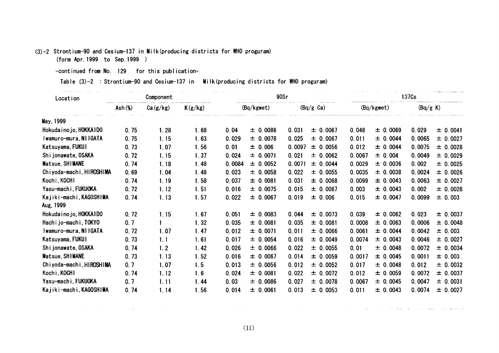## (3)-2 Strontium-90 and Cesium-137 in Milk(producing districts for WHO proguram)

(form Apr.1999 to Sep.1999)

-continued from No. 129 for this publication-

 $\mathcal{L}^{\mathcal{L}}$  and the set of the set of the set of the set of the set of the set of the set of the set of the set of the set of the set of the set of the set of the set of the set of the set of the set of the set of the

Table (3)-2: Strontium-90 and Cesium-137 in Milk(producing districts for WHO proguram)

| Location                   |                    | Component |         |        | 90Sr         |        |                     | 137 <sub>Cs</sub> |            |          |              |  |  |
|----------------------------|--------------------|-----------|---------|--------|--------------|--------|---------------------|-------------------|------------|----------|--------------|--|--|
|                            | $\mathsf{Ash}(\%)$ | Ca(g/kg)  | K(g/kg) |        | (Bq/kgwet)   |        | $(Bq/g \text{ Ca})$ |                   | (Bq/kgwet) | (Bq/g K) |              |  |  |
| May, 1999                  |                    |           |         |        |              |        |                     |                   |            |          |              |  |  |
| Hokuda i no jo, HOKKA I DO | 0.75               | 1.28      | 1.68    | 0.04   | ± 0.0086     | 0.031  | ± 0.0067            | 0.048             | ± 0.0069   | 0.029    | ± 0.0041     |  |  |
| Iwamuro-mura, NilGATA      | 0.75               | 1.15      | 1.63    | 0.029  | $\pm 0.0078$ | 0.025  | ± 0.0067            | 0.011             | ± 0.0044   | 0.0065   | ± 0.0027     |  |  |
| Katsuyama, FUKUI           | 0.73               | 1.07      | 1.56    | 0.01   | ± 0.006      | 0.0097 | $\pm 0.0056$        | 0.012             | ± 0.0044   | 0.0075   | ± 0.0028     |  |  |
| Shijonawate, OSAKA         | 0.72               | 1.15      | 1.37    | 0.024  | ± 0.0071     | 0.021  | ± 0.0062            | 0.0067            | ± 0.004    | 0.0049   | ± 0.0029     |  |  |
| Matsue, SHIMANE            | 0.74               | 1.18      | 1.48    | 0.0084 | ± 0.0052     | 0.0071 | 0.0044<br>土         | 0.0029            | ± 0.0036   | 0.002    | $\pm 0.0025$ |  |  |
| Chiyoda-machi, HIROSHIMA   | 0.69               | 1.04      | 1.48    | 0.023  | $\pm 0.0058$ | 0.022  | ± 0.0055            | 0.0035            | ± 0.0038   | 0.0024   | $\pm 0.0026$ |  |  |
| Kochi, KOCHI               | 0.74               | 1.19      | 1.58    | 0.037  | ± 0.0081     | 0.031  | ± 0.0068            | 0.0099            | ± 0.0043   | 0.0063   | ± 0.0027     |  |  |
| Yasu-machi, FUKUOKA        | 0.72               | 1.12      | 1.51    | 0.016  | ± 0.0075     | 0.015  | ± 0.0067            | 0.003             | ± 0.0043   | 0.002    | ± 0.0028     |  |  |
| Kajiki-machi, KAGOSHIMA    | 0.74               | 1.13      | 1.57    | 0.022  | ± 0.0067     | 0.019  | 0.006<br>士          | 0.015             | ± 0.0047   | 0.0099   | $\pm 0.003$  |  |  |
| Aug, 1999                  |                    |           |         |        |              |        |                     |                   |            |          |              |  |  |
| Hokuda i no jo, HOKKAIDO   | 0.72               | 1.15      | 1.67    | 0.051  | ± 0.0083     | 0.044  | 0.0073<br>士         | 0.039             | ± 0.0062   | 0.023    | ± 0.0037     |  |  |
| Hachijo-machi, TOKYO       | 0.7                |           | 1.32    | 0.035  | ± 0.0081     | 0.035  | ± 0.0081            | 0.0008            | ± 0.0063   | 0.0006   | ± 0.0048     |  |  |
| Iwamuro-mura, NiiGATA      | 0.72               | 1.07      | 1.47    | 0.012  | ± 0.0071     | 0.011  | ± 0.0066            | 0.0061            | ± 0.0044   | 0.0042   | $\pm 0.003$  |  |  |
| Katsuyama, FUKUI           | 0.73               | 1.1       | 1.61    | 0.017  | ± 0.0054     | 0.016  | ± 0.0049            | 0.0074            | ± 0.0043   | 0.0046   | ± 0.0027     |  |  |
| Shi jonawate, OSAKA        | 0.74               | 1.2       | 1.42    | 0.026  | ± 0.0066     | 0.022  | ± 0.0055            | 0.01              | ± 0.0048   | 0.0072   | ± 0.0034     |  |  |
| Matsue, SHIMANE            | 0.73               | 1.13      | 1.52    | 0.016  | $\pm 0.0067$ | 0.014  | ± 0.0059            | 0.0017            | ± 0.0045   | 0.0011   | $\pm 0.003$  |  |  |
| Chiyoda-machi, HIROSHIMA   | 0.7                | 1.07      | 1.5     | 0.013  | ± 0.0056     | 0.012  | ± 0.0052            | 0.017             | ± 0.0048   | 0.012    | $\pm 0.0032$ |  |  |
| Kochi, KOCHI               | 0.74               | 1.12      | 1.6     | 0.024  | ± 0.0081     | 0.022  | ± 0.0072            | 0.012             | ± 0.0059   | 0.0072   | $\pm 0.0037$ |  |  |
| Yasu-machi, FUKUOKA        | 0.7                | 1.11      | 1.44    | 0.03   | ± 0.0086     | 0.027  | ± 0.0078            | 0.0067            | ± 0.0045   | 0.0047   | ± 0.0031     |  |  |
| Kajiki-machi, KAGOSHIMA    | 0.74               | 1.14      | 1.56    | 0.014  | ± 0.0061     | 0.013  | ± 0.0053            | 0.011             | ± 0.0043   | 0.0074   | ± 0.0027     |  |  |

 $(11)$ 

المسترد ومراداتها المتمرد والرابات والتراسي والرازيل

. . . . . . . . . . .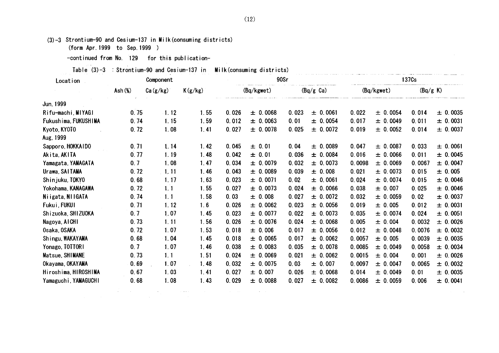(3)-3 Strontium-90 and Cesium-137 in Milk (consuming districts)

(form Apr. 1999 to Sep. 1999 )

-continued from No. 129 for this publication-

Table  $(3)-3$ : Strontium-90 and Cesium-137 in Milk(consuming districts)

| Location             |                     | Component |         |       |            | 90Sr  |                     | 137 <sub>Cs</sub> |            |          |          |  |  |
|----------------------|---------------------|-----------|---------|-------|------------|-------|---------------------|-------------------|------------|----------|----------|--|--|
|                      | Ash( <sub>W</sub> ) | Ca(g/kg)  | K(g/kg) |       | (Bq/kgwet) |       | $(Bq/g \text{ Ca})$ |                   | (Bq/kgwet) | (Bq/g K) |          |  |  |
| Jun, 1999            |                     |           |         |       |            |       |                     |                   |            |          |          |  |  |
| Rifu-machi, MIYAGI   | 0.75                | 1.12      | 1.55    | 0.026 | ± 0.0068   | 0.023 | ± 0.0061            | 0.022             | ± 0.0054   | 0.014    | ± 0.0035 |  |  |
| Fukushima, FUKUSHIMA | 0.74                | 1.15      | 1.59    | 0.012 | ± 0.0063   | 0.01  | ± 0.0054            | 0.017             | ± 0.0049   | 0.011    | ± 0.0031 |  |  |
| Kyoto, KYOTO         | 0.72                | 1.08      | 1.41    | 0.027 | ± 0.0078   | 0.025 | ± 0.0072            | 0.019             | ± 0.0052   | 0.014    | ± 0.0037 |  |  |
| Aug, 1999            |                     |           |         |       |            |       |                     |                   |            |          |          |  |  |
| Sapporo, HOKKAIDO    | 0.71                | 1.14      | 1.42    | 0.045 | ± 0.01     | 0.04  | ± 0.0089            | 0.047             | ± 0.0087   | 0.033    | ± 0.0061 |  |  |
| Akita, AKITA         | 0.77                | 1.19      | 1.48    | 0.042 | ± 0.01     | 0.036 | ± 0.0084            | 0.016             | ± 0.0066   | 0.011    | ± 0.0045 |  |  |
| Yamagata, YAMAGATA   | 0.7                 | 1.08      | 1.47    | 0.034 | ± 0.0079   | 0.032 | ± 0.0073            | 0.0098            | ± 0.0069   | 0.0067   | ± 0.0047 |  |  |
| Urawa, SAITAMA       | 0.72                | 1, 11     | 1.46    | 0.043 | ± 0.0089   | 0.039 | ± 0.008             | 0.021             | ± 0.0073   | 0.015    | ± 0.005  |  |  |
| Shinjuku, TOKYO      | 0.68                | 1.17      | 1.63    | 0.023 | ± 0.0071   | 0.02  | ± 0.0061            | 0.024             | ± 0.0074   | 0.015    | ± 0.0046 |  |  |
| Yokohama, KANAGAWA   | 0.72                | 1.1       | 1.55    | 0.027 | ± 0.0073   | 0.024 | ± 0.0066            | 0.038             | ± 0.007    | 0.025    | ± 0.0046 |  |  |
| Niigata, NIIGATA     | 0.74                | 1.1       | 1.58    | 0.03  | ± 0.008    | 0.027 | ± 0.0072            | 0.032             | ± 0.0059   | 0.02     | ± 0.0037 |  |  |
| Fukui, FUKUI         | 0.71                | 1.12      | 1.6     | 0.026 | ± 0.0062   | 0.023 | ± 0.0056            | 0.019             | ± 0.005    | 0.012    | ± 0.0031 |  |  |
| Shizuoka, SHIZUOKA   | 0.7                 | 1.07      | 1.45    | 0.023 | ± 0.0077   | 0.022 | ± 0.0073            | 0.035             | ± 0.0074   | 0.024    | ± 0.0051 |  |  |
| Nagoya, AICHI        | 0.73                | 1.11      | 1.56    | 0.026 | ± 0.0076   | 0.024 | ± 0.0068            | 0.005             | ± 0.004    | 0.0032   | ± 0.0026 |  |  |
| Osaka, OSAKA         | 0.72                | 1.07      | 1.53    | 0.018 | ± 0.006    | 0.017 | ± 0.0056            | 0.012             | ± 0.0048   | 0.0076   | ± 0.0032 |  |  |
| Shingu, WAKAYAMA     | 0.68                | 1.04      | 1.45    | 0.018 | ± 0.0065   | 0.017 | ± 0.0062            | 0.0057            | ± 0.005    | 0.0039   | ± 0.0035 |  |  |
| Yonago, TOTTORI      | 0.7                 | 1.07      | 1.46    | 0.038 | ± 0.0083   | 0.035 | ± 0.0078            | 0.0085            | ± 0.0049   | 0.0058   | ± 0.0034 |  |  |
| Matsue, SHIMANE      | 0.73                | 1.1       | 1.51    | 0.024 | ± 0.0069   | 0.021 | ± 0.0062            | 0.0015            | ± 0.004    | 0.001    | ± 0.0026 |  |  |
| Okayama, OKAYAMA     | 0.69                | 1.07      | 1.48    | 0.032 | ± 0.0075   | 0.03  | ± 0.007             | 0.0097            | ± 0.0047   | 0.0065   | ± 0.0032 |  |  |
| Hiroshima, HIROSHIMA | 0.67                | 1.03      | 1.41    | 0.027 | ± 0.007    | 0.026 | ± 0.0068            | 0.014             | ± 0.0049   | 0.01     | ± 0.0035 |  |  |
| Yamaguchi, YAMAGUCHI | 0.68                | 1.08      | 1.43    | 0.029 | ± 0.0088   | 0.027 | ± 0.0082            | 0.0086            | ± 0.0059   | 0.006    | ± 0.0041 |  |  |

(12)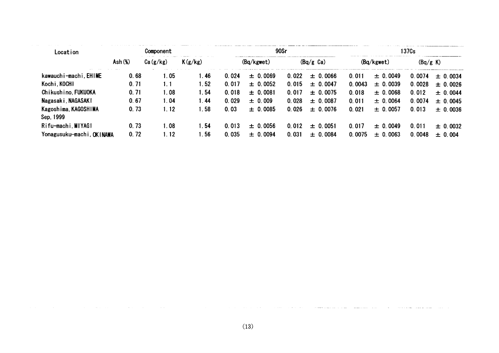| Location                          | Component           |          |         |       |              | 90Sr  |              | 137 <sub>Cs</sub> |              |          |              |  |  |
|-----------------------------------|---------------------|----------|---------|-------|--------------|-------|--------------|-------------------|--------------|----------|--------------|--|--|
|                                   | Ash( <sub>W</sub> ) | Ca(g/kg) | K(g/kg) |       | (Bq/kgwet)   |       | (Bq/g Ca)    |                   | (Bq/kgwet)   | (Bq/g K) |              |  |  |
| kawauchi-machi EHIME              | 0.68                | 1.05     | 1.46    | 0.024 | ± 0.0069     | 0.022 | $\pm$ 0.0066 | 0.011             | $\pm 0.0049$ | 0.0074   | $\pm$ 0.0034 |  |  |
| Kochi, KOCHI                      | 0.71                | 1.1      | 1.52    | 0.017 | $\pm 0.0052$ | 0.015 | $\pm$ 0.0047 | 0.0043            | $\pm$ 0.0039 | 0.0028   | $\pm 0.0026$ |  |  |
| Chikushino, FUKUOKA               | 0.71                | 1.08     | 1.54    | 0.018 | ± 0.0081     | 0.017 | $\pm$ 0.0075 | 0.018             | $\pm 0.0068$ | 0.012    | $\pm$ 0.0044 |  |  |
| Nagasaki, NAGASAKI                | 0.67                | 1.04     | 1.44    | 0.029 | $\pm 0.009$  | 0.028 | $\pm$ 0.0087 | 0.011             | $\pm$ 0.0064 | 0.0074   | $\pm 0.0045$ |  |  |
| Kagoshima, KAGOSHIMA<br>Sep, 1999 | 0.73                | 1.12     | 1.58    | 0.03  | $\pm$ 0.0085 | 0.026 | $\pm$ 0.0076 | 0.021             | $\pm 0.0057$ | 0.013    | ± 0.0036     |  |  |
| Rifu-machi, MIYAGI                | 0.73                | 1.08     | 1.54    | 0.013 | ± 0.0056     | 0.012 | $\pm 0.0051$ | 0.017             | $\pm$ 0.0049 | 0.011    | $\pm$ 0.0032 |  |  |
| Yonagusuku-machi, OKINAWA         | 0.72                | 1.12     | .56     | 0.035 | ± 0.0094     | 0.031 | $\pm 0.0084$ | 0.0075            | $\pm$ 0.0063 | 0.0048   | ± 0.004      |  |  |

المتاريخ والمعامر

. . . .

and the case of the company

 $\sim 100$  km s  $^{-1}$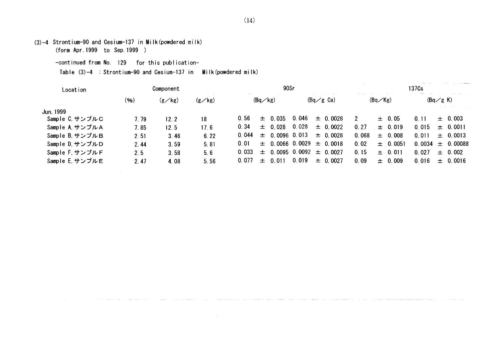$(3)-4$  Strontium-90 and Cesium-137 in Milk(powdered milk)

(form Apr.1999 to Sep.1999)

-continued from No. 129 for this publication-

Table  $(3)-4$  : Strontium-90 and Cesium-137 in Milk(powdered milk)

| Location        | Component                                |      |      | 90Sr  |                   |                 |                 |                                  |       | 137 <sub>Cs</sub> |         |                              |         |  |  |
|-----------------|------------------------------------------|------|------|-------|-------------------|-----------------|-----------------|----------------------------------|-------|-------------------|---------|------------------------------|---------|--|--|
|                 | (96)<br>$(g\angle$ kg)<br>$(g\angle$ kg) |      |      |       | $(Bq \diagup kg)$ |                 |                 | $(Bq \, \measuredangle g \,$ Ca) |       | (Bq/Kg)           |         | $(Bq \, \measuredangle g K)$ |         |  |  |
| Jun. 1999       |                                          |      |      |       |                   |                 |                 |                                  |       |                   |         |                              |         |  |  |
| Sample C サンプルC  | 7. 79                                    | 12.2 | 18   | 0.56  | $\pm$             | 0.035           | 0.046           | $\pm$ 0.0028                     |       | $\pm$ 0.05        | 0.11    | $+$                          | 0.003   |  |  |
| Sample A, サンプルA | 7.85                                     | 12.5 | 17.6 | 0.34  | $\pm$             | 0.028           | 0.028           | $\pm$ 0.0022                     | 0, 27 | $\pm 0.019$       | 0 0 1 5 | $+$                          | 0.0011  |  |  |
| Sample B. サンプルB | 2.51                                     | 3.46 | 6.22 | 0.044 | 土                 | $0.0096$ 0.013  |                 | $\pm$ 0.0028                     | 0.068 | $\pm$ 0.008       | 0.011   | $+$                          | 0.0013  |  |  |
| Sample D. サンプルD | 2.44                                     | 3.59 | 5.81 | 0.01  | $\pm$             | $0.0066$ 0.0029 |                 | $\pm$ 0.0018                     | 0.02  | $\pm$ 0.0051      | 0.0034  | $+$                          | 0.00088 |  |  |
| Sample F. サンプルF | 2.5                                      | 3.58 | 5.6  | 0.033 | 士                 |                 | $0.0095$ 0.0092 | $\pm$ 0.0027                     | 0.15  | $\pm$ 0.011       | 0.027   | $+$                          | 0.002   |  |  |
| Sample E. サンプルE | 2.47                                     | 4.08 | 5.56 | 0.077 | ┿                 | 0 011           | 0.019           | $\pm$ 0.0027                     | 0.09  | $\pm$ 0.009       | 0 016   | $+$                          | 0.0016  |  |  |

.<br>20 maande kan van de kan de kan de verdeelde het maar de verwonder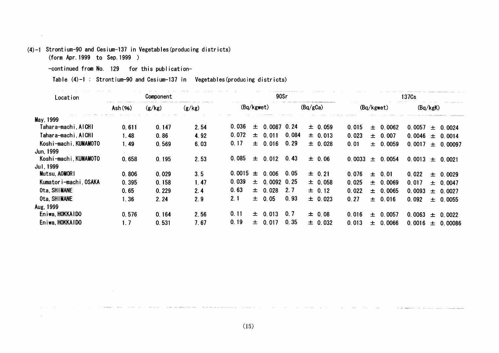# (4)-1 Strontium-90 and Cesium-137 in Vegetables(producing districts)

(form Apr.1999 to Sep.1999)

 $\sim 10^7$ 

 $\sim$ 

-continued from No. 129 for this publication-

 $\label{eq:reduced} \begin{split} \mathcal{L}_{\text{reduced}}(\mathbf{r}) = \mathcal{L}_{\text{reduced}}(\mathbf{r}) \end{split}$ 

Table  $(4)-1$ : Strontium-90 and Cesium-137 in Vegetables(producing districts)

| Location               |                  | Component |        |            | 90Sr  |               |       |             |        |            | 137 <sub>Cs</sub> |          |       |               |  |
|------------------------|------------------|-----------|--------|------------|-------|---------------|-------|-------------|--------|------------|-------------------|----------|-------|---------------|--|
|                        | $\text{Ash}(96)$ | (g/kg)    | (g/kg) | (Bq/kgwet) |       |               |       | (Bq/gCa)    |        | (Bq/kgwet) |                   | (Bq/kgK) |       |               |  |
| May, 1999              |                  |           |        |            |       |               |       |             |        |            |                   |          |       |               |  |
| Tahara-machi AlCHI     | 0.611            | 0.147     | 2.54   | 0.036      | 士     | $0,0087$ 0.24 |       | ± 0.059     | 0.015  | $\pm$      | 0.0062            | 0.0057   | 士     | 0.0024        |  |
| Tahara-machi, AICHI    | 1.48             | 0.86      | 4.92   | 0.072      | 士     | 0.011         | 0.084 | ± 0.013     | 0.023  | 士          | 0.007             | 0.0046   | $\pm$ | 0.0014        |  |
| Koshi-machi, KUMAMOTO  | 1.49             | 0.569     | 6.03   | 0.17       | 士     | 0.016         | 0.29  | ± 0.028     | 0.01   | $\pm$      | 0.0059            | 0.0017   |       | $\pm$ 0.00097 |  |
| Jun, 1999              |                  |           |        |            |       |               |       |             |        |            |                   |          |       |               |  |
| Koshi-machi, KUMAMOTO  | 0.658            | 0.195     | 2.53   | 0.085      | $\pm$ | 0.012         | 0.43  | $\pm$ 0.06  | 0.0033 | $\pm$      | 0.0054            | 0.0013   |       | $\pm 0.0021$  |  |
| Jul. 1999              |                  |           |        |            |       |               |       |             |        |            |                   |          |       |               |  |
| Mutsu, AOMORI          | 0.806            | 0.029     | 3.5    | 0.0015     | $\pm$ | 0.006         | 0.05  | $\pm 0.21$  | 0.076  | $\pm$      | 0.01              | 0.022    | $\pm$ | 0.0029        |  |
| Kumator i-machi, OSAKA | 0.395            | 0.158     | 1.47   | 0.039      | 土     | $0.0092$ 0.25 |       | $\pm 0.058$ | 0.025  | $+$        | 0.0069            | 0.017    |       | ± 0.0047      |  |
| Ota, SHIMANE           | 0.65             | 0.229     | 2.4    | 0.63       | $\pm$ | 0.028         | 2.7   | $\pm$ 0.12  | 0.022  | $+$        | 0.0065            | 0.0093   |       | $\pm 0.0027$  |  |
| Ota, SHIMANE           | 1.36             | 2.24      | 2.9    | 2.1        | 士     | 0.05          | 0.93  | $\pm 0.023$ | 0.27   |            | ± 0.016           | 0.092    |       | $\pm 0.0055$  |  |
| Aug. 1999              |                  |           |        |            |       |               |       |             |        |            |                   |          |       |               |  |
| Eniwa, HOKKAIDO        | 0.576            | 0.164     | 2.56   | 0.11       | 土     | 0.013         | 0.7   | $\pm$ 0.08  | 0.016  | $\pm$      | . 0057<br>0.      | 0.0063   | $\pm$ | 0.0022        |  |
| Eniwa, HOKKAIDO        | 1.7              | 0.531     | 7.67   | 0.19       | 士     | 0.017         | 0.35  | $\pm$ 0.032 | 0.013  | $\pm$      | 0.0066            | 0.0016   |       | ± 0.00086     |  |

and the commencer of the company's comment of the comment of the

and the component of the momentum component and component and component of the component of the component of the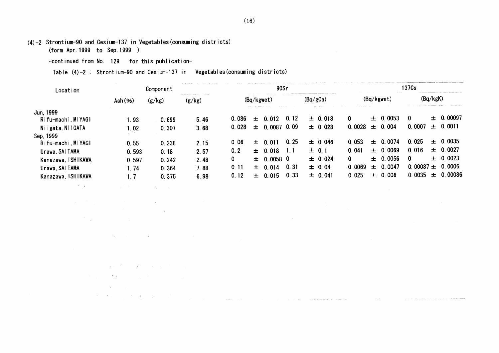(4)-2 Strontium-90and Cesiun-137in Vegetables(consuming districts)

(form Apr.1999 to Sep.1999)

-continued from No. 129 for this publication-

다 있는 사람이 아니라 아이들은 아이들이 아니라 아니다.

 $\label{eq:2.1} \frac{d\mathcal{L}}{d\mathcal{L}}\left(\frac{d\mathcal{L}}{d\mathcal{L}}\right)=\frac{d\mathcal{L}}{d\mathcal{L}}\left(\frac{d\mathcal{L}}{d\mathcal{L}}\right)=\frac{d\mathcal{L}}{d\mathcal{L}}\left(\frac{d\mathcal{L}}{d\mathcal{L}}\right)=\frac{d\mathcal{L}}{d\mathcal{L}}\left(\frac{d\mathcal{L}}{d\mathcal{L}}\right)=\frac{d\mathcal{L}}{d\mathcal{L}}\left(\frac{d\mathcal{L}}{d\mathcal{L}}\right)=\frac{d\math$ 

 $\label{eq:2.1} \mathcal{L}(\mathcal{L}^{\text{max}}_{\text{max}}) = \mathcal{L}(\mathcal{L}^{\text{max}}_{\text{max}}) + \mathcal{L}(\mathcal{L}^{\text{max}}_{\text{max}})$ 

 $\mathcal{L}_{\mathcal{A}}$  and the set of the set of the set of the set of the set of the set of the set of the set of the set of the set of the set of the set of the set of the set of the set of the set of the set of the set of the  $\label{eq:2.1} \frac{1}{2} \int_{\mathbb{R}^3} \frac{1}{\sqrt{2}} \, \frac{1}{\sqrt{2}} \, \frac{1}{\sqrt{2}} \, \frac{1}{\sqrt{2}} \, \frac{1}{\sqrt{2}} \, \frac{1}{\sqrt{2}} \, \frac{1}{\sqrt{2}} \, \frac{1}{\sqrt{2}} \, \frac{1}{\sqrt{2}} \, \frac{1}{\sqrt{2}} \, \frac{1}{\sqrt{2}} \, \frac{1}{\sqrt{2}} \, \frac{1}{\sqrt{2}} \, \frac{1}{\sqrt{2}} \, \frac{1}{\sqrt{2}} \, \frac{1}{\sqrt{2}} \,$ 

 $\mathcal{L}^{\mathcal{L}}$  and the state of the state of the state of the state of the state of the state of the state of the state of the state of the state of the state of the state of the state of the state of the state of the st

and the state of the state of the state of the state  $\label{eq:2.1} \mathcal{L}^{\mathcal{A}}(\mathcal{A})=\mathcal{L}^{\mathcal{A}}(\mathcal{A})=\mathcal{L}^{\mathcal{A}}(\mathcal{A})=\mathcal{L}^{\mathcal{A}}(\mathcal{A})=\mathcal{L}^{\mathcal{A}}(\mathcal{A})=\mathcal{L}^{\mathcal{A}}(\mathcal{A})=\mathcal{L}^{\mathcal{A}}(\mathcal{A})=\mathcal{L}^{\mathcal{A}}(\mathcal{A})=\mathcal{L}^{\mathcal{A}}(\mathcal{A})=\mathcal{L}^{\mathcal{A}}(\mathcal{A})=\mathcal{L}^{\mathcal{A}}(\mathcal{A})=\math$ 

 $\label{eq:2.1} \mathcal{L}^{(1)}\left(\mathcal{H}^{(1)}\right) = \mathcal{L}^{(1)}\left(\mathcal{L}^{(1)}\right) = \mathcal{L}^{(1)}\left(\mathcal{L}^{(1)}\right) = \mathcal{L}^{(1)}\left(\mathcal{L}^{(1)}\right) = \mathcal{L}^{(1)}\left(\mathcal{L}^{(1)}\right)$ 

Table (4)-2 : Strontium-90 and Cesium-137 in Vegetables (consuming districts)

| Location           | Component<br>.    |        |        | 90Sr  |       |               |      |          |             | 137 <sub>Cs</sub> |       |              |               |          |              |
|--------------------|-------------------|--------|--------|-------|-------|---------------|------|----------|-------------|-------------------|-------|--------------|---------------|----------|--------------|
|                    | $\mathsf{Ash}(%)$ | (g/kg) | (g/kg) |       |       | (Bq/kgwet)    |      | (Bq/gCa) |             |                   |       | (Bq/kgwet)   |               | (Bq/kgK) |              |
| Jun, 1999          |                   |        |        |       |       |               |      |          |             |                   |       |              |               |          |              |
| Rifu-machi, MIYAGI | 1.93              | 0.699  | 5.46   | 0.086 | $\pm$ | 0.012         | 0.12 |          | $\pm 0.018$ | 0                 |       | $\pm$ 0.0053 | 0             | 士        | 0.00097      |
| Niigata, NIIGATA   | l. 02             | 0.307  | 3.68   | 0.028 | $\pm$ | $0.0087$ 0.09 |      |          | ± 0.028     | 0.0028            | $\pm$ | 0.004        | 0.0007        | 士        | 0.0011       |
| Sep. 1999          |                   |        |        |       |       |               |      |          |             |                   |       |              |               |          |              |
| Rifu-machi, MIYAGI | 0.55              | 0.238  | 2.15   | 0.06  | $\pm$ | 0 011         | 0.25 |          | ± 0.046     | 0.053             |       | $\pm$ 0.0074 | 0.025         | $+$      | 0.0035       |
| Urawa, SAITAMA     | 0.593             | 0.18   | 2.57   | 0.2   | 土     | 0.018         | 1.1  |          | ± 0.1       | 0.041             |       | $\pm$ 0.0069 | 0.016         |          | $\pm$ 0.0027 |
| Kanazawa, ISHIKAWA | 0.597             | 0.242  | 2.48   | $0$ . | 士     | 0.0058 0      |      |          | $\pm 0.024$ | 0                 | $+$   | 0.0056       | $\Omega$      |          | $\pm$ 0.0023 |
| Urawa, SAITAMA     | 1. 74             | 0.364  | 7.88   | 0.11  | 土     | 0.014         | 0.31 |          | ± 0.04      | 0.0069            | $+$   | 0.0047       | 0.00087 $\pm$ |          | 0.0006       |
| Kanazawa, ISHIKAWA |                   | 0.375  | 6.98   | 0.12  | 士     | 0.015         | 0.33 |          | ± 0.041     | 0.025             | $+$   | 0.006        | 0.0035        | $+$      | 0.00086      |

المستحدث والتواصل والمستخدم والمتحدث والمتحدث

 $\sim 100$  km s  $^{-1}$ 

in a construction of the construction of the second second second second second second second second second se

 $(16)$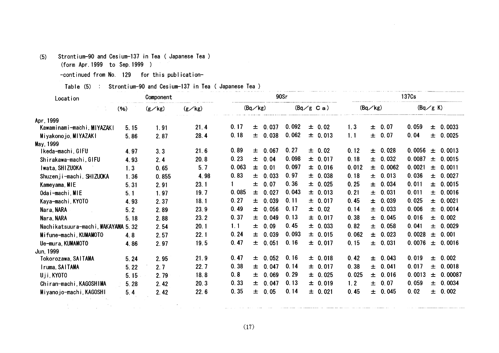## (5) Strontium-90and Cesium-137in Tea(Japanese Tea)

(form Apr.1999 to Sep.1999)

-continued from No. 129 for this publication-

Table (5) : Strontium-90 and Cesium-137 in Tea ( Japanese Tea )

| 137 <sub>Cs</sub><br>90Sr                                                                                                                    |                           |         |                       |                     | Component                   |                     | Location                                                |
|----------------------------------------------------------------------------------------------------------------------------------------------|---------------------------|---------|-----------------------|---------------------|-----------------------------|---------------------|---------------------------------------------------------|
| $(Bq \,   \, g \, K)$<br>(Bq/kg)<br>$(Bq/g \text{ C a})$                                                                                     |                           | (Bq/kg) |                       | $(g\angle$ kg)      | $(g \swarrow kg)$           |                     | (96)                                                    |
|                                                                                                                                              |                           |         |                       |                     |                             |                     | Apr. 1999                                               |
| 0.092<br>± 0.07<br>0.059<br>$\pm 0.0033$<br>$\pm$ 0.02<br>1.3                                                                                | 0.037                     | 土       | 0.17                  | 21.4                | 1.91                        | 5.15                | Kawaminami-machi, MIYAZAKI                              |
| 0.062<br>± 0.07<br>0.04<br>± 0.013<br>1.1<br>± 0.0025                                                                                        | 0.038                     | 土       | 0.18                  | 28.4                | 2.87                        | 5.86                | Miyakonojo, MIYAZAKI                                    |
|                                                                                                                                              |                           |         |                       |                     |                             |                     | May, 1999                                               |
| 0.27<br>± 0.028<br>0.0056<br>0.0013<br>± 0.02<br>0.12<br>土                                                                                   | $\pm 0.067$               |         | 0.89                  | 21.6                | 3.3                         | 4.97                | Ikeda-machi, GIFU                                       |
| 0.0015<br>$\pm$                                                                                                                              |                           |         |                       |                     |                             | 4.93                |                                                         |
| ± 0.0011                                                                                                                                     |                           | 士       |                       |                     | 0.65                        | 1.3                 | Iwata, SHIZUOKA                                         |
| ± 0.0027<br>± 0.038<br>0.18<br>± 0.013                                                                                                       | 0.033                     | 士       |                       | 4.98                | 0.855                       | 1.36                | Shuzenji-machi, SHIZUOKA                                |
| 0.011<br>0.36<br>± 0.025<br>0.25<br>± 0.034<br>± 0.0015                                                                                      | 0.07                      | 士       |                       | 23.1                | 2.91                        | 5.31                | Kameyama, MIE                                           |
| 0.043<br>± 0.031<br>0.011<br>0.0016<br>± 0.013<br>0.21<br>土                                                                                  | 0.027                     | 土       | 0.085                 | 19.7                | 1.97                        | 5.1                 | Odai-machi, MIE                                         |
| 0.025<br>± 0.0021<br>0.11<br>± 0.017<br>0.45<br>± 0.039                                                                                      | 0.039                     | 土       | 0.27                  | 18.1                | 2.37                        | 4.93                | Kaya-machi, KY0T0                                       |
| 0.17<br>0.006<br>± 0.0014<br>$\pm$ 0.02<br>± 0.033<br>0.14                                                                                   | 0.056                     | 士       | 0.49                  | 23.9                | 2.89                        | 5.2                 | Nara, NARA                                              |
| ± 0.045<br>0.016<br>0.002<br>0.13<br>± 0.017<br>0.38<br>$\pm$                                                                                | 0.049                     | 土       | 0.37                  | 23.2                | 2.88                        | 5.18                | Nara, NARA                                              |
| ± 0.058<br>0.041<br>0.0029<br>0.45<br>$\pm 0.033$<br>0.82<br>士                                                                               | 0.09                      | 士       | 1.1                   | 20.1                | 2.54                        |                     | Nachikatsuura-machi, WAKAYAMA 5.32                      |
| 0.093<br>0.0028<br>0.001<br>± 0.015<br>0.062<br>± 0.023<br>士                                                                                 | 0.039                     | 土       | 0.24                  | 22.1                |                             |                     | Mifune-machi, KUMAMOTO                                  |
| 0.16<br>± 0.031<br>0.0076<br>0.0016<br>土                                                                                                     |                           |         | 0.47                  |                     |                             |                     |                                                         |
|                                                                                                                                              |                           |         |                       |                     |                             |                     |                                                         |
| 0.16<br>0.42<br>0.019<br>0.002<br>± 0.018<br>0.043<br>士<br>土                                                                                 | 0.052                     | 土       | 0.47                  | 21.9                | 2.95                        | 5.24                | Tokorozawa, SAITAMA                                     |
| 0.14<br>0.38<br>± 0.041<br>0.017<br>0.0018<br>± 0.017<br>土                                                                                   | 0.047                     | 士       | 0.38                  | 22.7                | 2:7                         | 5.22                | Iruma, SAITAMA                                          |
| 0.29<br>0.025<br>0.0013<br>0.00087<br>± 0.016<br>± 0.025<br>士                                                                                | 0.069                     | 土       | 0.8                   | 18.8                | 2.79                        | 5.15                | Uji, KYOTO                                              |
| 0.13<br>0.059<br>0.0034<br>± 0.019<br>1.2<br>± 0.07<br>士                                                                                     | 0.047                     | 土       | 0.33                  | 20.3                |                             |                     | Chiran-machi, KAGOSHIMA                                 |
| 0.45<br>0.02<br>0.002<br>0.14<br>0.045<br>$\pm$<br>$\pm 0.021$<br>士                                                                          | 0.05                      | 土       | 0.35                  | 22.6                | 2.42                        | 5.4                 | Miyanojo-machi, KAGOSHI                                 |
|                                                                                                                                              |                           |         |                       |                     |                             |                     |                                                         |
|                                                                                                                                              |                           |         |                       |                     |                             |                     |                                                         |
|                                                                                                                                              |                           |         |                       |                     |                             |                     |                                                         |
|                                                                                                                                              |                           |         | (17)                  |                     |                             |                     |                                                         |
|                                                                                                                                              |                           |         |                       |                     |                             |                     |                                                         |
| 0.098<br>0.18<br>$\pm 0.032$<br>0.0087<br>± 0.017<br>0.0021<br>0.097<br>0.012<br>± 0.016<br>± 0.0062<br>0.97<br>0.036<br>0.15<br>$\pm 0.017$ | ± 0.04<br>0.01<br>± 0.051 |         | 0.23<br>0.063<br>0.83 | 20.8<br>5.7<br>19.5 | 2.4<br>2.57<br>2.97<br>2.42 | 4.8<br>4.86<br>5.28 | Shirakawa-machi, GIFU<br>Ue-mura, KUMAMOTO<br>Jun, 1999 |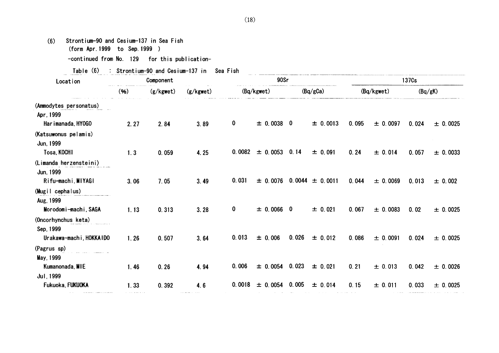| Strontium-90 and Cesium-137 in Sea Fish<br>(6)<br>(form Apr. 1999 to Sep. 1999 ) |      |           |                                           |              |                    |       |                                  |       |            |                   |              |
|----------------------------------------------------------------------------------|------|-----------|-------------------------------------------|--------------|--------------------|-------|----------------------------------|-------|------------|-------------------|--------------|
| -continued from No. 129 for this publication-                                    |      |           |                                           |              |                    |       |                                  |       |            |                   |              |
| Table (6)                                                                        |      |           | : Strontium-90 and Cesium-137 in Sea Fish |              |                    |       |                                  |       |            |                   |              |
| Location                                                                         |      | Component |                                           |              | 90Sr               |       |                                  |       |            | 137 <sub>Cs</sub> |              |
|                                                                                  | (96) | (g/kgwet) | (g/kgwet)                                 |              | (Bq/kgwet)         |       | (Bq/gCa)                         |       | (Bq/kgwet) | (Bq/gK)           |              |
| (Ammodytes personatus)                                                           |      |           |                                           |              |                    |       |                                  |       |            |                   |              |
| Apr, 1999<br>Har imanada, HY0GO                                                  | 2.27 | 2.84      | 3.89                                      | $\mathbf 0$  | $\pm$ 0.0038 0     |       | ± 0.0013                         | 0.095 | ± 0.0097   | 0.024             | ± 0.0025     |
| (Katsuwonus pelamis)<br>Jun, 1999<br>Tosa, KOCHI                                 | 1.3  | 0.059     | 4.25                                      | 0.0082       | $\pm$ 0.0053 0.14  |       | $\pm 0.091$                      | 0.24  | ± 0.014    | 0.057             | $\pm 0.0033$ |
| (Limanda herzensteini)<br>Jun, 1999                                              |      |           |                                           |              |                    |       |                                  |       |            |                   |              |
| Rifu-machi, MIYAGI<br>(Mugil cephalus)                                           | 3.06 | 7.05      | 3.49                                      | 0.031        |                    |       | $\pm$ 0.0076 0.0044 $\pm$ 0.0011 | 0.044 | ± 0.0069   | 0.013             | ± 0.002      |
| Aug, 1999<br>Morodomi-machi, SAGA                                                | 1.13 | 0.313     | 3.28                                      | $\mathbf{0}$ | $\pm$ 0.0066 0     |       | $\pm 0.021$                      | 0.067 | ± 0.0083   | 0.02              | ± 0.0025     |
| (Oncorhynchus keta)<br>Sep, 1999<br>Urakawa-machi, HOKKAIDO                      | 1.26 | 0.507     | 3.64                                      | 0.013        | $\pm 0.006$        | 0.026 | $\pm 0.012$                      | 0.086 | ± 0.0091   | 0.024             | ± 0.0025     |
| (Pagrus sp)<br>May, 1999                                                         |      |           |                                           |              |                    |       |                                  |       |            |                   |              |
| Kumanonada, MIE<br>Jul, 1999                                                     | 1.46 | 0.26      | 4.94                                      | 0.006        | $\pm$ 0.0054 0.023 |       | $\pm 0.021$                      | 0.21  | ± 0.013    | 0.042             | ± 0.0026     |
| Fukuoka, FUKUOKA                                                                 | 1.33 | 0.392     | 4.6                                       | 0.0018       | $\pm$ 0.0054       | 0.005 | ± 0.014                          | 0.15  | ± 0.011    | 0.033             | ± 0.0025     |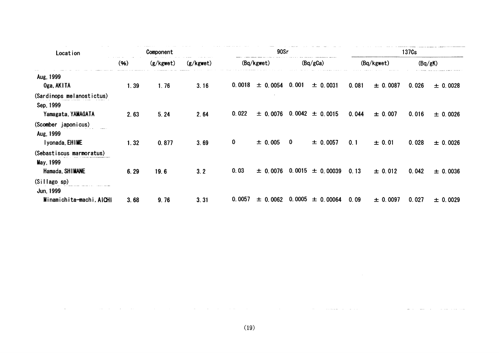| Location                                                     |      | Component | 90Sr      |        |              |                  |                      |       |            | 137 <sub>Cs</sub> |          |
|--------------------------------------------------------------|------|-----------|-----------|--------|--------------|------------------|----------------------|-------|------------|-------------------|----------|
|                                                              | (96) | (g/kgwet) | (g/kgwet) |        | (Bq/kgwet)   |                  | (Bq/gCa)             |       | (Bq/kgwet) |                   | (Bq/gK)  |
| Aug, 1999<br>Oga, AKITA                                      | 1.39 | 1.76      | 3.16      | 0.0018 | $\pm 0.0054$ | 0.001            | $\pm 0.0031$         | 0.081 | ± 0.0087   | 0.026             | ± 0.0028 |
| (Sardinops melanostictus)<br>Sep. 1999<br>Yamagata, YAMAGATA | 2.63 | 5.24      | 2.64      | 0.022  | ± 0.0076     |                  | $0.0042 \pm 0.0015$  | 0.044 | ± 0.007    | 0.016             | ± 0.0026 |
| (Scomber japonicus)<br>Aug. 1999<br>I yonada, EHIME          | 1.32 | 0.877     | 3.69      | 0      | $\pm$ 0.005  | $\boldsymbol{0}$ | $\pm 0.0057$         | 0.1   | ± 0.01     | 0.028             | ± 0.0026 |
| (Sebastiscus marmoratus)<br>May, 1999<br>Hamada, SHIMANE     | 6.29 | 19.6      | 3.2       | 0.03   | $\pm 0.0076$ |                  | $0.0015 \pm 0.00039$ | 0.13  | ± 0.012    | 0.042             | ± 0.0036 |
| (Sillago sp)<br>Jun, 1999                                    |      |           |           |        |              |                  |                      |       |            |                   |          |
| Minamichita-machi, AICHI                                     | 3.68 | 9.76      | 3.31      | 0.0057 | $\pm$ 0.0062 | 0.0005           | $\pm$ 0.00064        | 0.09  | ± 0.0097   | 0.027             | ± 0.0029 |

 $\sim$  100  $\sim$  100  $\mu$  200  $\mu$  200  $\mu$  100  $\mu$  100  $\mu$ 

 $\sim 10^{-1}$ 

**Carl College**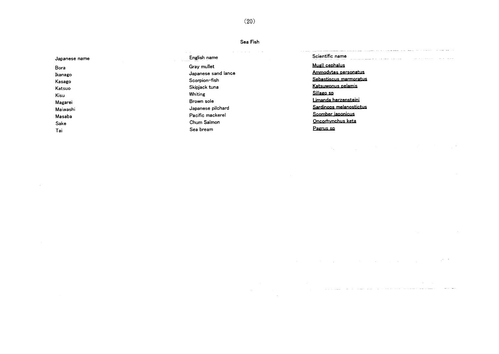Sea Fish

| Japanese name                                                                               | the company of the company of the company of the company of the company of<br>and the control<br>English name                                                                                  | and the second construction of the contract of the second contract of the contract of the second contract of the contract of the contract of the contract of the contract of the contract of the contract of the contract of t<br>Scientific name<br>the company of the company of the company of the company of the company of the company of the company of the company of the company of the company of the company of the company of the company of the company of the company<br>the component of the component of the component and component of the component of the component of the component |
|---------------------------------------------------------------------------------------------|------------------------------------------------------------------------------------------------------------------------------------------------------------------------------------------------|--------------------------------------------------------------------------------------------------------------------------------------------------------------------------------------------------------------------------------------------------------------------------------------------------------------------------------------------------------------------------------------------------------------------------------------------------------------------------------------------------------------------------------------------------------------------------------------------------------|
| Bora<br>Ikanago<br>Kasago<br>Katsuo<br>Kisu<br>Magarei<br>Maiwashi<br>Masaba<br>Sake<br>Tai | the contract of the mail<br>Gray mullet<br>Japanese sand lance<br>Scorpion-fish<br>Skipjack tuna<br>Whiting<br>Brown sole<br>Japanese pilchard<br>Pacific mackerel<br>Chum Salmon<br>Sea bream | Mugil cephalus<br>Ammodytes personatus<br>Sebastiscus marmoratus<br>Katsuwonus pelamis<br>Sillago sp<br>imanda herzensteini<br>Sardinops melanostictus<br>Scomber iaponicus<br>Oncorhvnchus keta<br>Pagrus sp                                                                                                                                                                                                                                                                                                                                                                                          |

 $\mathcal{L}^{\mathcal{L}}(\mathcal{L}^{\mathcal{L}})$  and  $\mathcal{L}^{\mathcal{L}}(\mathcal{L}^{\mathcal{L}})$  and  $\mathcal{L}^{\mathcal{L}}(\mathcal{L}^{\mathcal{L}})$ 

 $\label{eq:2.1} \frac{1}{\sqrt{2}}\sum_{i=1}^n\frac{1}{\sqrt{2}}\sum_{i=1}^n\frac{1}{\sqrt{2}}\sum_{i=1}^n\frac{1}{\sqrt{2}}\sum_{i=1}^n\frac{1}{\sqrt{2}}\sum_{i=1}^n\frac{1}{\sqrt{2}}\sum_{i=1}^n\frac{1}{\sqrt{2}}\sum_{i=1}^n\frac{1}{\sqrt{2}}\sum_{i=1}^n\frac{1}{\sqrt{2}}\sum_{i=1}^n\frac{1}{\sqrt{2}}\sum_{i=1}^n\frac{1}{\sqrt{2}}\sum_{i=1}^n\frac$ 

 $\mathcal{L}^{\mathcal{L}}$  and the set of the set of the set of the set of the set of the set of the set of the set of the set of the set of the set of the set of the set of the set of the set of the set of the set of the set of the

بالمدار والمسارات

a sa mga bayang sa mga bayang sa mga bayang sa pagalang ng mga bayang ng mga bayang ng mga mga mga mga bayang<br>Mga bayang sa pag-ang mga bayang ng mga bayang ng mga bayang ng mga bayang ng mga bayang ng mga bayang ng mga

 $(20)$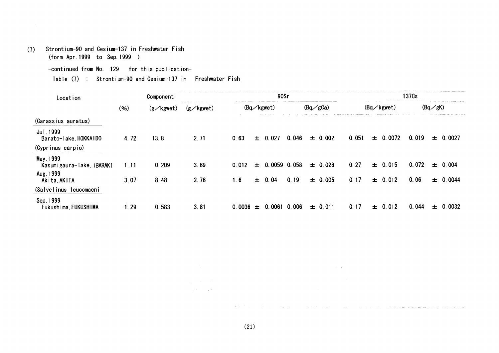(了) Strontium-90and Cesiun-137in Freshwater Fish (form Apr.1999 to Sep.1999)

Table (7) : Strontium-90 and Cesium-137 in Freshwater Fish

| Location                                            |      | Component          |                    |              | 90Sr                 |       |                    |       |   |                     | 137 <sub>Cs</sub> |                   |              |
|-----------------------------------------------------|------|--------------------|--------------------|--------------|----------------------|-------|--------------------|-------|---|---------------------|-------------------|-------------------|--------------|
|                                                     | (96) | $(g \angle$ kgwet) | $(g \angle$ kgwet) |              | $(Bq \diagup kgwet)$ |       | $(Bq \diagup gCa)$ |       |   | $(Bq \angle$ kgwet) |                   | $(Bq \diagup gK)$ |              |
| (Carassius auratus)                                 |      |                    |                    |              |                      |       |                    |       |   |                     |                   |                   |              |
| Jul. 1999<br>Barato-lake, HOKKAIDO                  | 4.72 | 13.8               | 2.71               | 0.63         | $\pm 0.027$          | 0.046 | $\pm$ 0.002        | 0.051 |   | $\pm$ 0.0072        | 0.019             |                   | $\pm$ 0.0027 |
| (Cyprinus carpio)                                   |      |                    |                    |              |                      |       |                    |       |   |                     |                   |                   |              |
| May, 1999<br>Kasumigaura-lake, IBARAKI<br>Aug, 1999 | 1.11 | 0.209              | 3.69               | 0.012        | $\pm$ 0.0059 0.058   |       | $\pm 0.028$        | 0.27  |   | $\pm 0.015$         | 0.072             |                   | ± 0.004      |
| Akita, AKITA                                        | 3.07 | 8.48               | 2.76               | 1.6          | $\pm$ 0.04           | 0.19  | ± 0.005            | 0.17  |   | $\pm$ 0.012         | 0.06              |                   | ± 0.0044     |
| (Salvelinus leucomaeni                              |      |                    |                    |              |                      |       |                    |       |   |                     |                   |                   |              |
| Sep, 1999<br>Fukushima, FUKUSHIMA                   | 1.29 | 0.583              | 3.81               | $0.0036 \pm$ | 0.0061               | 0.006 | $\pm 0.011$        | 0.17  | 士 | 0.012               | 0.044             | 士                 | 0.0032       |

(21)

and a straightforward compared to the compared of the compared of the compared of the compared of the compared

 $\mathcal{L}_{\text{max}}$  and  $\mathcal{L}_{\text{max}}$  $\mathcal{L}^{\text{max}}_{\text{max}}$  and  $\mathcal{L}^{\text{max}}_{\text{max}}$ 

<sup>-</sup>continued from No. 129 for this publication-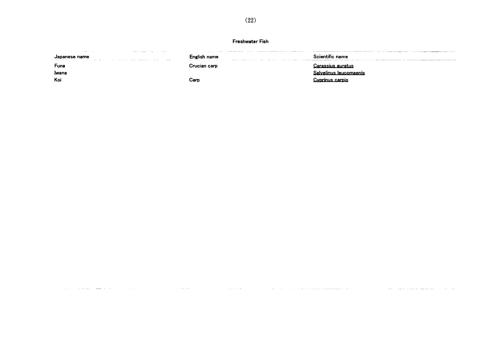## Freshwater Fish

| the company's company's property and the company's property of the company's property and the company's property of the company's property and the company's property of the company's property and the company's property and<br>Japanese name<br>The second company of the company of the company of the company of the company of the company of the company of the company of the company of the company of the company of the company of the company of the company of the c | the second contract to the con-<br>English name<br>the company of the company company of the company of<br><b>Contract Contract</b> | Scientific name        |
|-----------------------------------------------------------------------------------------------------------------------------------------------------------------------------------------------------------------------------------------------------------------------------------------------------------------------------------------------------------------------------------------------------------------------------------------------------------------------------------|-------------------------------------------------------------------------------------------------------------------------------------|------------------------|
| Funa                                                                                                                                                                                                                                                                                                                                                                                                                                                                              | Crucian carp                                                                                                                        | Carassius auratus      |
| Iwana                                                                                                                                                                                                                                                                                                                                                                                                                                                                             |                                                                                                                                     | Salvelinus leucomaenis |
| Koi                                                                                                                                                                                                                                                                                                                                                                                                                                                                               | Carp                                                                                                                                | <u>Cvorinus carpio</u> |

المراجع والمسترد الشعفع والمرادين

**Contractor** 

المتحادث الفقائف الداريات

المحامل ومراد

**Communication** 

a series and more recommendation management of the contract

and the company of the company of the company of the company of the company of the company of the company of the company of the company of the company of the company of the company of the company of the company of the comp

وللأراد والأمرار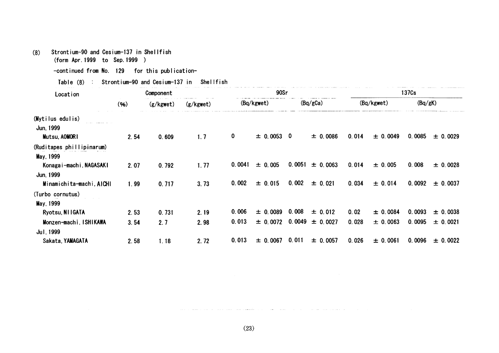#### Strontium-90 and Cesium-137 in Shellfish  $(8)$

(form Apr. 1999 to Sep. 1999 )

-continued from No. 129 for this publication-

Table (8) : Strontium-90 and Cesium-137 in Shellfish

| Location                  | Component |           |           |        | 90Sr         |          |              | 137 <sub>Cs</sub> |          |         |          |  |
|---------------------------|-----------|-----------|-----------|--------|--------------|----------|--------------|-------------------|----------|---------|----------|--|
|                           | (96)      | (g/kgwet) | (g/kgwet) |        | (Bq/kgwet)   |          | (Bq/gCa)     | (Bq/kgwet)        |          | (Bq/gK) |          |  |
| (Mytilus edulis)          |           |           |           |        |              |          |              |                   |          |         |          |  |
| Jun, 1999                 |           |           |           |        |              |          |              |                   |          |         |          |  |
| Mutsu, AOMORI             | 2.54      | 0.609     | 1.7       | 0      | $\pm$ 0.0053 | $\bf{0}$ | ± 0.0086     | 0.014             | ± 0.0049 | 0.0085  | ± 0.0029 |  |
| (Ruditapes phillipinarum) |           |           |           |        |              |          |              |                   |          |         |          |  |
| May, 1999                 |           |           |           |        |              |          |              |                   |          |         |          |  |
| Konaga i-mach i, NAGASAKI | 2.07      | 0.792     | 1.77      | 0.0041 | ± 0.005      | 0.0051   | $\pm$ 0.0063 | 0.014             | ± 0.005  | 0.008   | ± 0.0028 |  |
| Jun, 1999                 |           |           |           |        |              |          |              |                   |          |         |          |  |
| Minamichita-machi, AICHI  | 1.99      | 0.717     | 3.73      | 0.002  | ± 0.015      | 0.002    | ± 0.021      | 0.034             | ± 0.014  | 0.0092  | ± 0.0037 |  |
| (Turbo cornutus)          |           |           |           |        |              |          |              |                   |          |         |          |  |
| May, 1999                 |           |           |           |        |              |          |              |                   |          |         |          |  |
| Ryotsu, NIIGATA           | 2.53      | 0.731     | 2.19      | 0.006  | $\pm 0.0089$ | 0.008    | $\pm 0.012$  | 0.02              | ± 0.0084 | 0.0093  | ± 0.0038 |  |
| Monzen-machi, ISHIKAWA    | 3.54      | 2.7       | 2.98      | 0.013  | $\pm 0.0072$ | 0.0049   | ± 0.0027     | 0.028             | ± 0.0063 | 0.0095  | ± 0.0021 |  |
| Jul. 1999                 |           |           |           |        |              |          |              |                   |          |         |          |  |
| Sakata, YAMAGATA          | 2.58      | 1.18      | 2.72      | 0.013  | $\pm 0.0067$ | 0.011    | ± 0.0057     | 0.026             | ± 0.0061 | 0.0096  | ± 0.0022 |  |

 $(23)$ 

and the state of the state.

الرواد وكششوط ستواطئوا وبدارية المرادي

**College** 

المتواطن والمتواطن والمتواطن المستحدث والمتواطن والمتواطن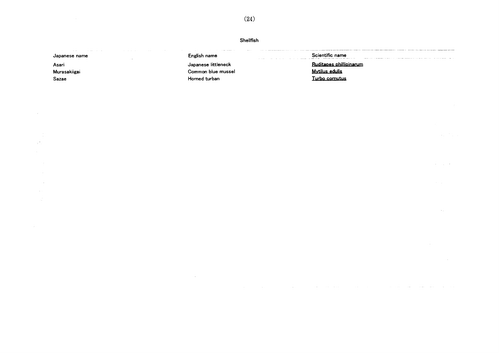Shellfish English name Scientific name Japanese name Ruditapes phillipinarum Asari Japanese littleneck **Mytilus edulis** Murasakiigai Common blue mussel Horned turban Turbo cornutus Sazae

 $\Delta \sim 10^{11}$  meV

 $\sim$ 

 $\sim$ 

 $\mathbb{R}^4$ 

 $(24)$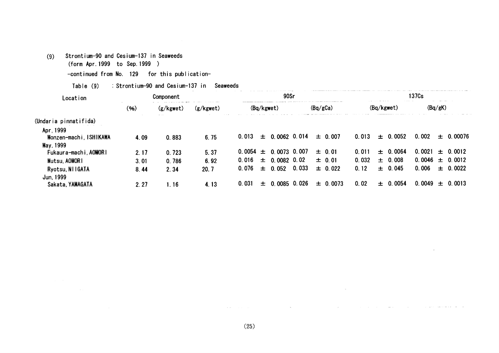## (9) Strontium-90 and Cesium-137 in Seaweeds

(form Apr.1999 to Sep.1999)

-continued from No. 129 for this publication-

## Table  $(9)$  : Strontium-90 and Cesium-137 in Seaweeds

| Location                           | Component |           |           | 90Sr       |                                 |       |              | 137 <sub>Cs</sub> |                 |         |               |  |
|------------------------------------|-----------|-----------|-----------|------------|---------------------------------|-------|--------------|-------------------|-----------------|---------|---------------|--|
|                                    | (96)      | (g/kgwet) | (g/kgwet) | (Bq/kgwet) |                                 |       | (Bq/gCa)     | (Bq/kgwet)        |                 | (Bq/gK) |               |  |
| (Undaria pinnatifida)              |           |           |           |            |                                 |       |              |                   |                 |         |               |  |
| Apr, 1999<br>Monzen-machi ISHIKAWA | 4.09      | 0.883     | 6.75      | 0.013      | $\pm$ 0.0062 0.014              |       | $\pm 0.007$  | 0.013             | $\pm$ 0.0052    | 0.002   | ± 0.00076     |  |
| May, 1999<br>Fukaura-machi, AOMORI | 2.17      | 0.723     | 5.37      |            | $0.0054 \pm 0.0073 \cdot 0.007$ |       | $\pm$ 0.01   | 0.011             | $+ 0.0064$      | 0.0021  | $\pm$ 0.0012  |  |
| Mutsu, AOMORI                      | 3.01      | 0.786     | 6.92      | 0.016      | $\pm$ 0.0082 0.02               |       | $\pm 0.01$   | 0.032             | $\pm$ 0.008     | 0.0046  | $\pm$ 0.0012  |  |
| Ryotsu, NIIGATA                    | 8.44      | 2.34      | 20.7      | 0.076      | $\pm$ 0.052                     | 0.033 | $\pm$ 0.022  | 0.12              | $\pm 0.045$     | 0.006   | $\pm$ 0.0022  |  |
| Jun. 1999                          |           |           |           |            |                                 |       |              |                   |                 |         |               |  |
| Sakata, YAMAGATA                   | 2.27      | l. 16     | 4.13      | 0.031      | $\pm$ 0.0085 0.026              |       | $\pm 0.0073$ | 0.02              | 0.0054<br>$\pm$ | 0.0049  | 0.0013<br>$+$ |  |

 $\sim$   $\sim$ 

 $\mathcal{L}^{\text{max}}_{\text{max}}$  and  $\mathcal{L}^{\text{max}}_{\text{max}}$ 

 $\sim 10^7$ 

المنابط المتستنقص المتواصل

 $\mathcal{L}^{\text{max}}_{\text{max}}$  , where  $\mathcal{L}^{\text{max}}_{\text{max}}$ 

 $\sim 10^{-10}$ 

and the state of the state of the state of the state of the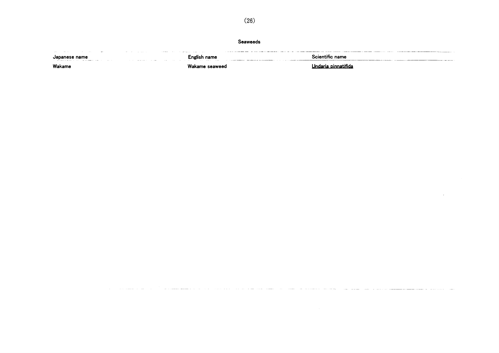Seaweeds

يستشابسا الاعتصادية تقار الشمير الأبران الصليل الأعيار ساعا اللزابرة الرابع والانتحار والأراد الرابي وتقسم للمسترع للرا

الموارد السوارين المتسلم والمتراد المرادي

 $(26)$ 

| the property of the control of the con-<br>the contract of the contract of the contract of the contract of the contract of<br>the state of the company of the company of<br>Japanese name                                                                                                                                                                                                                                                                                 | the model of the control of the second control of the control of the control of the control of the control of the control of the control of the control of the control of the control of the control of the control of the con | cientitic name |
|---------------------------------------------------------------------------------------------------------------------------------------------------------------------------------------------------------------------------------------------------------------------------------------------------------------------------------------------------------------------------------------------------------------------------------------------------------------------------|--------------------------------------------------------------------------------------------------------------------------------------------------------------------------------------------------------------------------------|----------------|
| the contract and a second community of the contract of the contract of the contract of the contract of the contract of the contract of the contract of the contract of the contract of the contract of the contract of the con<br>the company of the company of the company of the company of the company of the company of the company of the company of the company of the company of the company of the company of the company of the company of the company<br>Wakame |                                                                                                                                                                                                                                |                |

 $\mathcal{A}^{\mathcal{A}}$ 

للمستداد والمناوي الماري والمتعاطف للمستحدث

<u>ale de la commune d'album en la c</u>